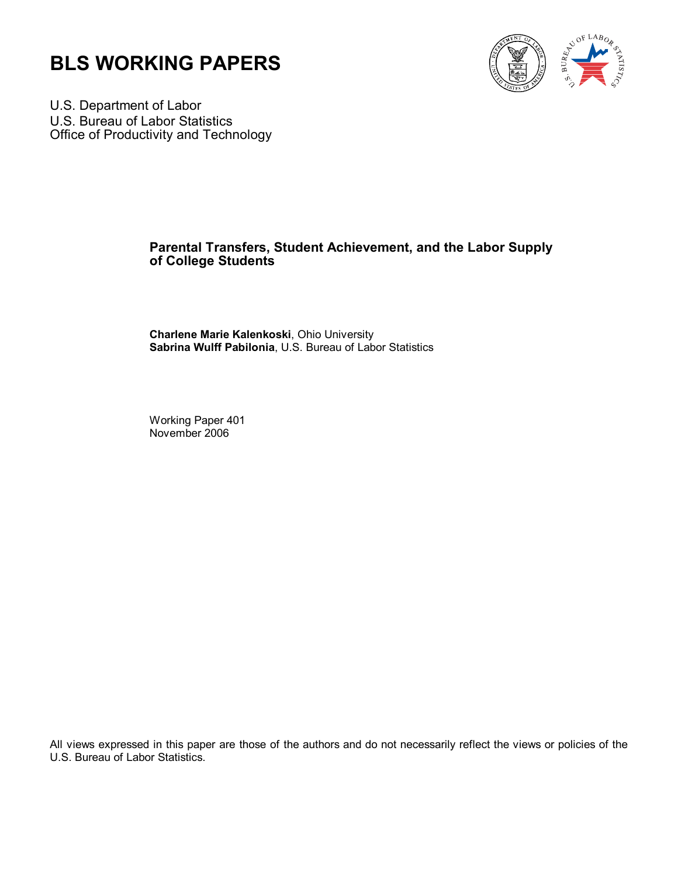



U.S. Department of Labor U.S. Bureau of Labor Statistics Office of Productivity and Technology

### **Parental Transfers, Student Achievement, and the Labor Supply of College Students**

**Charlene Marie Kalenkoski**, Ohio University **Sabrina Wulff Pabilonia**, U.S. Bureau of Labor Statistics

Working Paper 401 November 2006

All views expressed in this paper are those of the authors and do not necessarily reflect the views or policies of the U.S. Bureau of Labor Statistics.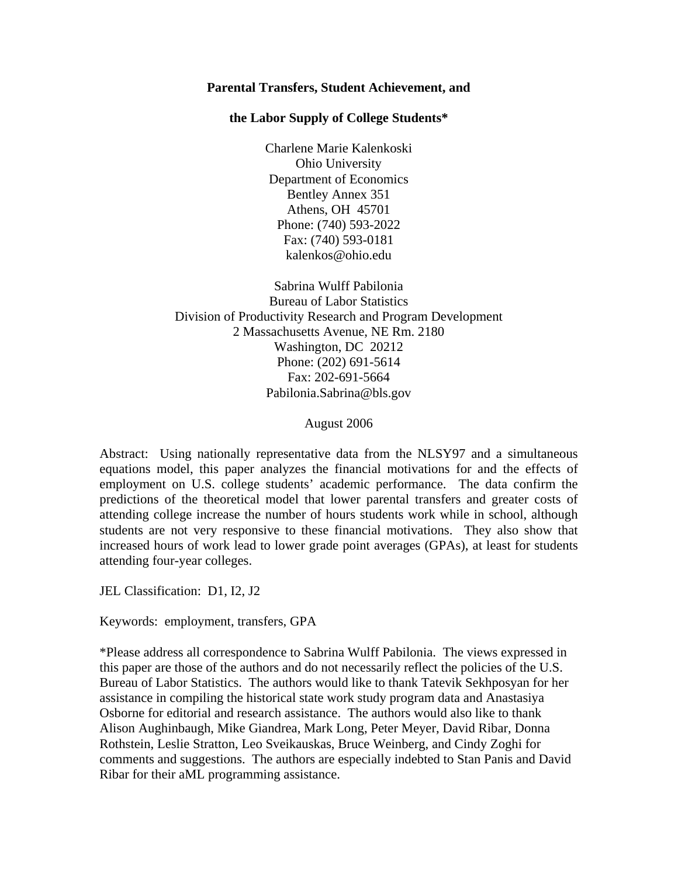#### **Parental Transfers, Student Achievement, and**

#### **the Labor Supply of College Students\***

Charlene Marie Kalenkoski Ohio University Department of Economics Bentley Annex 351 Athens, OH 45701 Phone: (740) 593-2022 Fax: (740) 593-0181 kalenkos@ohio.edu

Sabrina Wulff Pabilonia Bureau of Labor Statistics Division of Productivity Research and Program Development 2 Massachusetts Avenue, NE Rm. 2180 Washington, DC 20212 Phone: (202) 691-5614 Fax: 202-691-5664 Pabilonia.Sabrina@bls.gov

August 2006

Abstract: Using nationally representative data from the NLSY97 and a simultaneous equations model, this paper analyzes the financial motivations for and the effects of employment on U.S. college students' academic performance. The data confirm the predictions of the theoretical model that lower parental transfers and greater costs of attending college increase the number of hours students work while in school, although students are not very responsive to these financial motivations. They also show that increased hours of work lead to lower grade point averages (GPAs), at least for students attending four-year colleges.

JEL Classification: D1, I2, J2

Keywords: employment, transfers, GPA

\*Please address all correspondence to Sabrina Wulff Pabilonia. The views expressed in this paper are those of the authors and do not necessarily reflect the policies of the U.S. Bureau of Labor Statistics. The authors would like to thank Tatevik Sekhposyan for her assistance in compiling the historical state work study program data and Anastasiya Osborne for editorial and research assistance. The authors would also like to thank Alison Aughinbaugh, Mike Giandrea, Mark Long, Peter Meyer, David Ribar, Donna Rothstein, Leslie Stratton, Leo Sveikauskas, Bruce Weinberg, and Cindy Zoghi for comments and suggestions. The authors are especially indebted to Stan Panis and David Ribar for their aML programming assistance.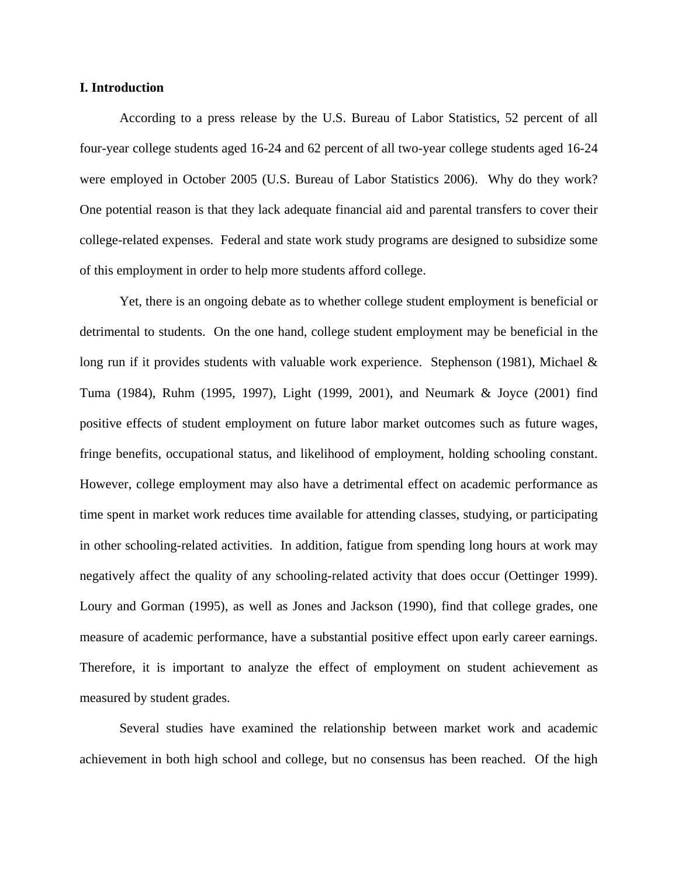#### **I. Introduction**

According to a press release by the U.S. Bureau of Labor Statistics, 52 percent of all four-year college students aged 16-24 and 62 percent of all two-year college students aged 16-24 were employed in October 2005 (U.S. Bureau of Labor Statistics 2006). Why do they work? One potential reason is that they lack adequate financial aid and parental transfers to cover their college-related expenses. Federal and state work study programs are designed to subsidize some of this employment in order to help more students afford college.

Yet, there is an ongoing debate as to whether college student employment is beneficial or detrimental to students. On the one hand, college student employment may be beneficial in the long run if it provides students with valuable work experience. Stephenson (1981), Michael & Tuma (1984), Ruhm (1995, 1997), Light (1999, 2001), and Neumark & Joyce (2001) find positive effects of student employment on future labor market outcomes such as future wages, fringe benefits, occupational status, and likelihood of employment, holding schooling constant. However, college employment may also have a detrimental effect on academic performance as time spent in market work reduces time available for attending classes, studying, or participating in other schooling-related activities. In addition, fatigue from spending long hours at work may negatively affect the quality of any schooling-related activity that does occur (Oettinger 1999). Loury and Gorman (1995), as well as Jones and Jackson (1990), find that college grades, one measure of academic performance, have a substantial positive effect upon early career earnings. Therefore, it is important to analyze the effect of employment on student achievement as measured by student grades.

Several studies have examined the relationship between market work and academic achievement in both high school and college, but no consensus has been reached. Of the high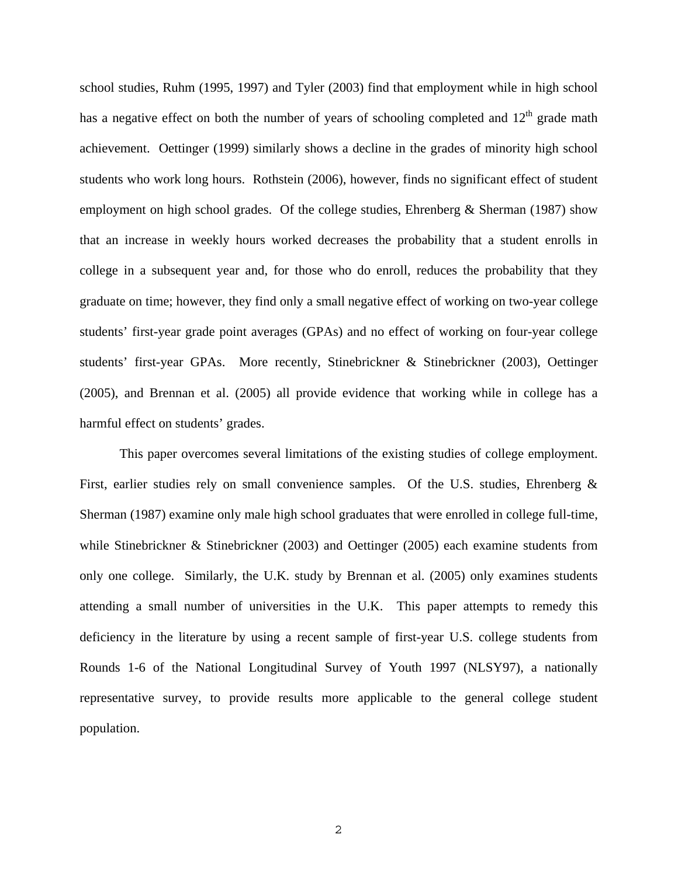school studies, Ruhm (1995, 1997) and Tyler (2003) find that employment while in high school has a negative effect on both the number of years of schooling completed and  $12<sup>th</sup>$  grade math achievement. Oettinger (1999) similarly shows a decline in the grades of minority high school students who work long hours. Rothstein (2006), however, finds no significant effect of student employment on high school grades. Of the college studies, Ehrenberg  $\&$  Sherman (1987) show that an increase in weekly hours worked decreases the probability that a student enrolls in college in a subsequent year and, for those who do enroll, reduces the probability that they graduate on time; however, they find only a small negative effect of working on two-year college students' first-year grade point averages (GPAs) and no effect of working on four-year college students' first-year GPAs. More recently, Stinebrickner & Stinebrickner (2003), Oettinger (2005), and Brennan et al. (2005) all provide evidence that working while in college has a harmful effect on students' grades.

This paper overcomes several limitations of the existing studies of college employment. First, earlier studies rely on small convenience samples. Of the U.S. studies, Ehrenberg & Sherman (1987) examine only male high school graduates that were enrolled in college full-time, while Stinebrickner & Stinebrickner (2003) and Oettinger (2005) each examine students from only one college. Similarly, the U.K. study by Brennan et al. (2005) only examines students attending a small number of universities in the U.K. This paper attempts to remedy this deficiency in the literature by using a recent sample of first-year U.S. college students from Rounds 1-6 of the National Longitudinal Survey of Youth 1997 (NLSY97), a nationally representative survey, to provide results more applicable to the general college student population.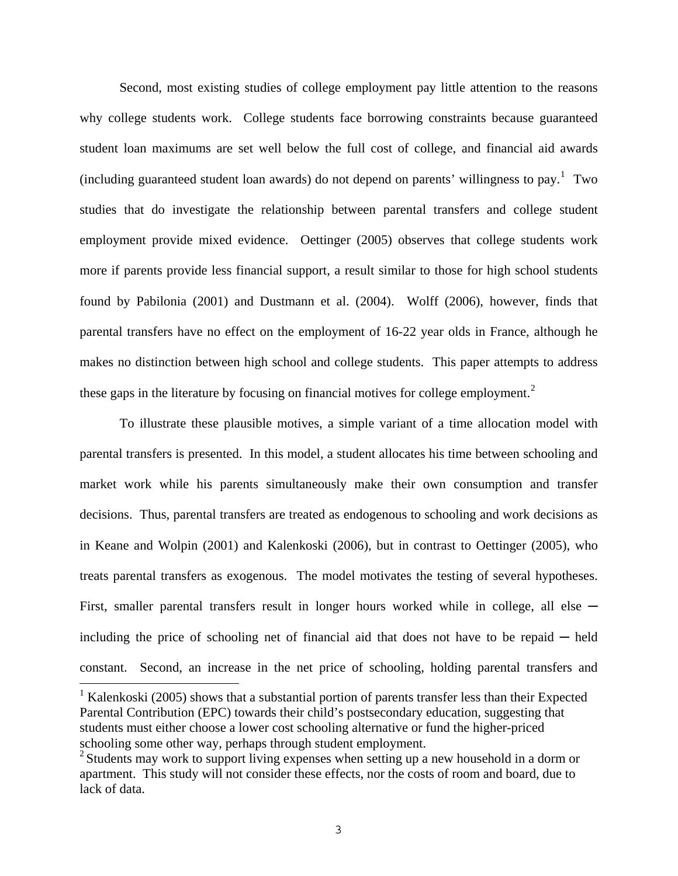Second, most existing studies of college employment pay little attention to the reasons why college students work. College students face borrowing constraints because guaranteed student loan maximums are set well below the full cost of college, and financial aid awards (including guaranteed student loan awards) do not depend on parents' willingness to pay.<sup>1</sup> Two studies that do investigate the relationship between parental transfers and college student employment provide mixed evidence. Oettinger (2005) observes that college students work more if parents provide less financial support, a result similar to those for high school students found by Pabilonia (2001) and Dustmann et al. (2004). Wolff (2006), however, finds that parental transfers have no effect on the employment of 16-22 year olds in France, although he makes no distinction between high school and college students. This paper attempts to address these gaps in the literature by focusing on financial motives for college employment.<sup>2</sup>

To illustrate these plausible motives, a simple variant of a time allocation model with parental transfers is presented. In this model, a student allocates his time between schooling and market work while his parents simultaneously make their own consumption and transfer decisions. Thus, parental transfers are treated as endogenous to schooling and work decisions as in Keane and Wolpin (2001) and Kalenkoski (2006), but in contrast to Oettinger (2005), who treats parental transfers as exogenous. The model motivates the testing of several hypotheses. First, smaller parental transfers result in longer hours worked while in college, all else  $$ including the price of schooling net of financial aid that does not have to be repaid  $-$  held constant. Second, an increase in the net price of schooling, holding parental transfers and

<sup>&</sup>lt;sup>1</sup> Kalenkoski (2005) shows that a substantial portion of parents transfer less than their Expected Parental Contribution (EPC) towards their child's postsecondary education, suggesting that students must either choose a lower cost schooling alternative or fund the higher-priced schooling some other way, perhaps through student employment.

 $2$  Students may work to support living expenses when setting up a new household in a dorm or apartment. This study will not consider these effects, nor the costs of room and board, due to lack of data.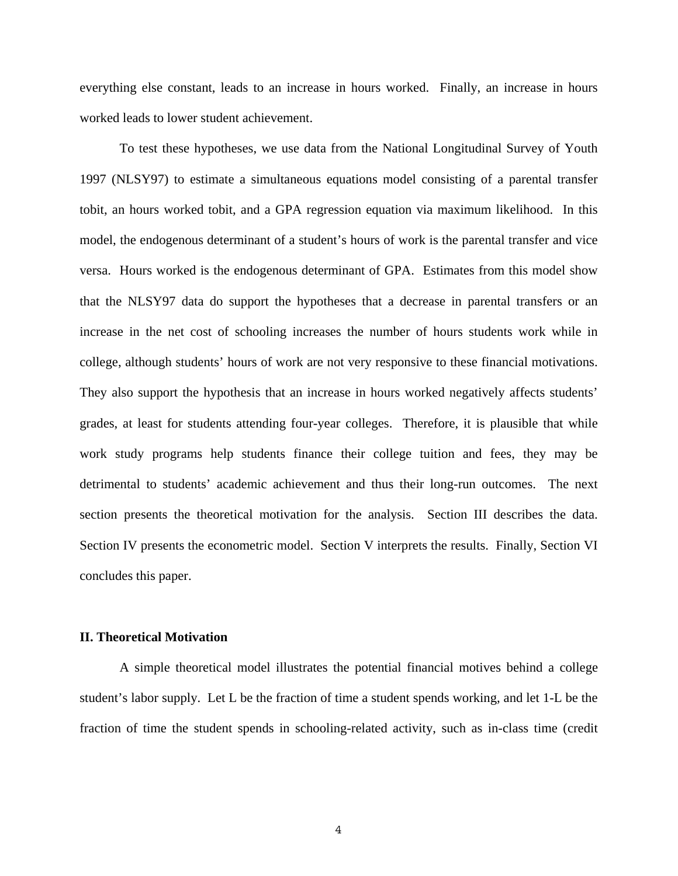everything else constant, leads to an increase in hours worked. Finally, an increase in hours worked leads to lower student achievement.

To test these hypotheses, we use data from the National Longitudinal Survey of Youth 1997 (NLSY97) to estimate a simultaneous equations model consisting of a parental transfer tobit, an hours worked tobit, and a GPA regression equation via maximum likelihood. In this model, the endogenous determinant of a student's hours of work is the parental transfer and vice versa. Hours worked is the endogenous determinant of GPA. Estimates from this model show that the NLSY97 data do support the hypotheses that a decrease in parental transfers or an increase in the net cost of schooling increases the number of hours students work while in college, although students' hours of work are not very responsive to these financial motivations. They also support the hypothesis that an increase in hours worked negatively affects students' grades, at least for students attending four-year colleges. Therefore, it is plausible that while work study programs help students finance their college tuition and fees, they may be detrimental to students' academic achievement and thus their long-run outcomes. The next section presents the theoretical motivation for the analysis. Section III describes the data. Section IV presents the econometric model. Section V interprets the results. Finally, Section VI concludes this paper.

#### **II. Theoretical Motivation**

A simple theoretical model illustrates the potential financial motives behind a college student's labor supply. Let L be the fraction of time a student spends working, and let 1-L be the fraction of time the student spends in schooling-related activity, such as in-class time (credit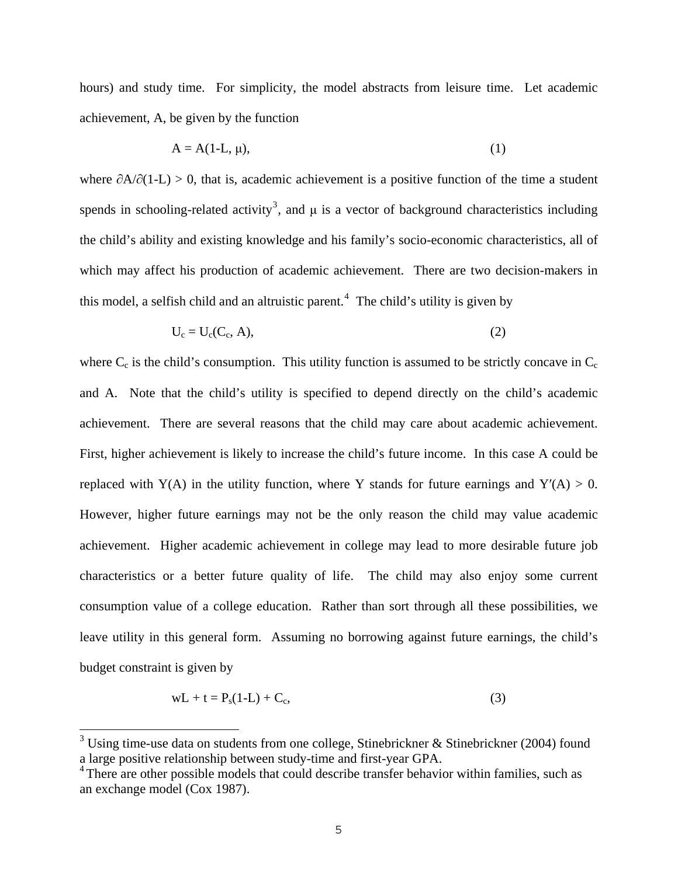hours) and study time. For simplicity, the model abstracts from leisure time. Let academic achievement, A, be given by the function

$$
A = A(1-L, \mu), \tag{1}
$$

where  $\partial A/\partial (1-L) > 0$ , that is, academic achievement is a positive function of the time a student spends in schooling-related activity<sup>3</sup>, and  $\mu$  is a vector of background characteristics including the child's ability and existing knowledge and his family's socio-economic characteristics, all of which may affect his production of academic achievement. There are two decision-makers in this model, a selfish child and an altruistic parent.<sup>4</sup> The child's utility is given by

$$
U_c = U_c(C_c, A), \tag{2}
$$

where  $C_c$  is the child's consumption. This utility function is assumed to be strictly concave in  $C_c$ and A. Note that the child's utility is specified to depend directly on the child's academic achievement. There are several reasons that the child may care about academic achievement. First, higher achievement is likely to increase the child's future income. In this case A could be replaced with  $Y(A)$  in the utility function, where Y stands for future earnings and  $Y'(A) > 0$ . However, higher future earnings may not be the only reason the child may value academic achievement. Higher academic achievement in college may lead to more desirable future job characteristics or a better future quality of life. The child may also enjoy some current consumption value of a college education. Rather than sort through all these possibilities, we leave utility in this general form. Assuming no borrowing against future earnings, the child's budget constraint is given by

$$
wL + t = P_s(1-L) + C_c,
$$
 (3)

a<br>B

<sup>&</sup>lt;sup>3</sup> Using time-use data on students from one college, Stinebrickner & Stinebrickner (2004) found a large positive relationship between study-time and first-year GPA.

 $4$  There are other possible models that could describe transfer behavior within families, such as an exchange model (Cox 1987).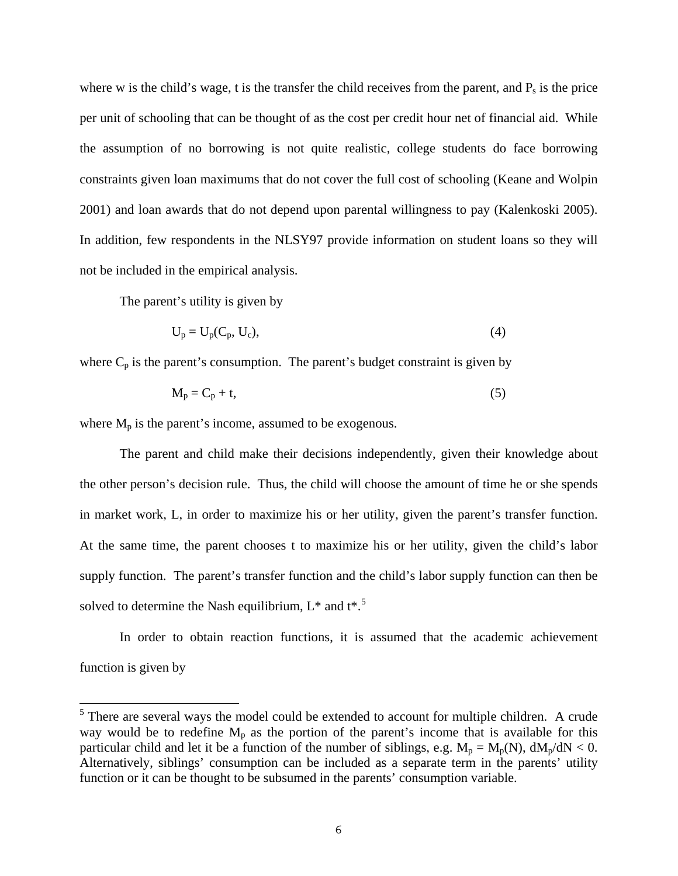where w is the child's wage, t is the transfer the child receives from the parent, and  $P_s$  is the price per unit of schooling that can be thought of as the cost per credit hour net of financial aid. While the assumption of no borrowing is not quite realistic, college students do face borrowing constraints given loan maximums that do not cover the full cost of schooling (Keane and Wolpin 2001) and loan awards that do not depend upon parental willingness to pay (Kalenkoski 2005). In addition, few respondents in the NLSY97 provide information on student loans so they will not be included in the empirical analysis.

The parent's utility is given by

$$
U_p = U_p(C_p, U_c), \tag{4}
$$

where  $C_p$  is the parent's consumption. The parent's budget constraint is given by

$$
M_p = C_p + t,\tag{5}
$$

where  $M_p$  is the parent's income, assumed to be exogenous.

The parent and child make their decisions independently, given their knowledge about the other person's decision rule. Thus, the child will choose the amount of time he or she spends in market work, L, in order to maximize his or her utility, given the parent's transfer function. At the same time, the parent chooses t to maximize his or her utility, given the child's labor supply function. The parent's transfer function and the child's labor supply function can then be solved to determine the Nash equilibrium,  $L^*$  and  $t^{*}$ .<sup>5</sup>

In order to obtain reaction functions, it is assumed that the academic achievement function is given by

 $<sup>5</sup>$  There are several ways the model could be extended to account for multiple children. A crude</sup> way would be to redefine  $M_p$  as the portion of the parent's income that is available for this particular child and let it be a function of the number of siblings, e.g.  $M_p = M_p(N)$ ,  $dM_p/dN < 0$ . Alternatively, siblings' consumption can be included as a separate term in the parents' utility function or it can be thought to be subsumed in the parents' consumption variable.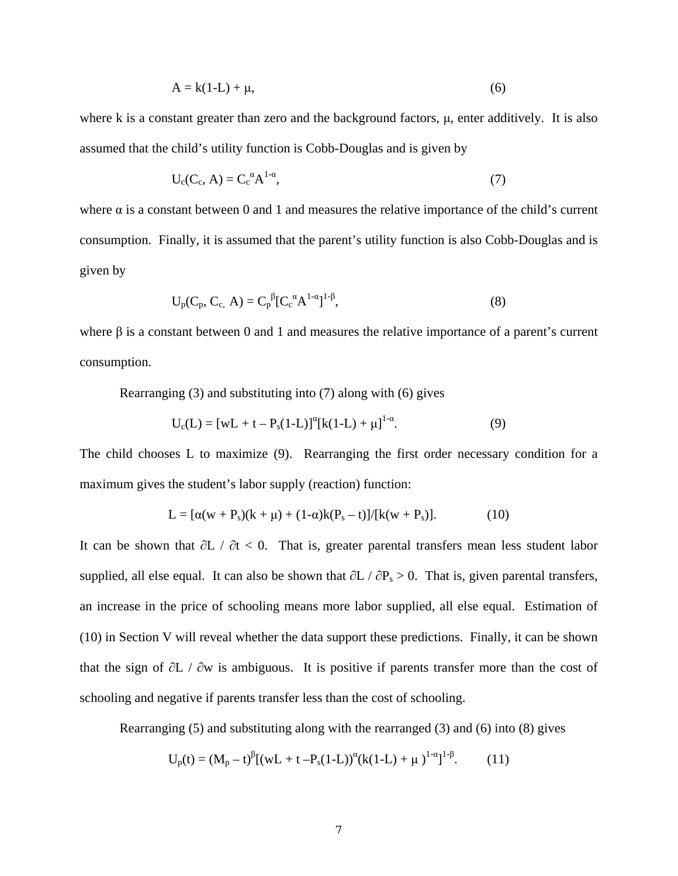$$
A = k(1-L) + \mu,\tag{6}
$$

where k is a constant greater than zero and the background factors, μ, enter additively. It is also assumed that the child's utility function is Cobb-Douglas and is given by

$$
U_c(C_c, A) = C_c^{\alpha} A^{1-\alpha},\tag{7}
$$

where  $\alpha$  is a constant between 0 and 1 and measures the relative importance of the child's current consumption. Finally, it is assumed that the parent's utility function is also Cobb-Douglas and is given by

$$
U_p(C_p, C_c, A) = C_p^{\beta} [C_c^{\alpha} A^{1-\alpha}]^{1-\beta}, \qquad (8)
$$

where  $\beta$  is a constant between 0 and 1 and measures the relative importance of a parent's current consumption.

Rearranging (3) and substituting into (7) along with (6) gives

$$
U_c(L) = [wL + t - P_s(1-L)]^{\alpha} [k(1-L) + \mu]^{1-\alpha}.
$$
 (9)

The child chooses L to maximize (9). Rearranging the first order necessary condition for a maximum gives the student's labor supply (reaction) function:

$$
L = [\alpha(w + P_s)(k + \mu) + (1 - \alpha)k(P_s - t)]/[k(w + P_s)].
$$
 (10)

It can be shown that  $\partial L / \partial t < 0$ . That is, greater parental transfers mean less student labor supplied, all else equal. It can also be shown that  $\partial L / \partial P_s > 0$ . That is, given parental transfers, an increase in the price of schooling means more labor supplied, all else equal. Estimation of (10) in Section V will reveal whether the data support these predictions. Finally, it can be shown that the sign of ∂L / ∂w is ambiguous. It is positive if parents transfer more than the cost of schooling and negative if parents transfer less than the cost of schooling.

Rearranging (5) and substituting along with the rearranged (3) and (6) into (8) gives

$$
U_p(t) = (M_p - t)^{\beta} [(wL + t - P_s(1-L))^{\alpha} (k(1-L) + \mu)^{1-\alpha}]^{1-\beta}.
$$
 (11)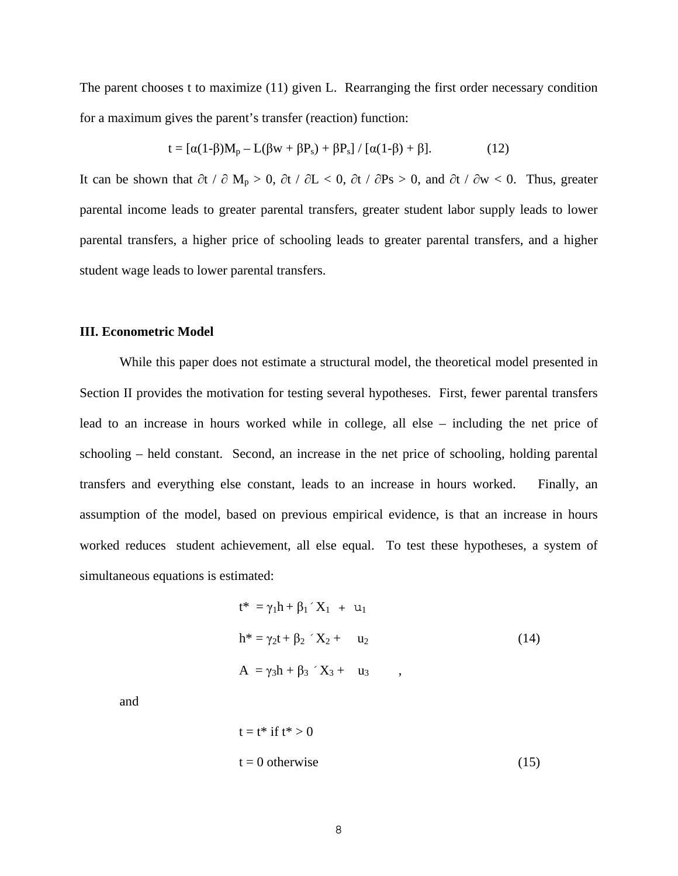The parent chooses t to maximize (11) given L. Rearranging the first order necessary condition for a maximum gives the parent's transfer (reaction) function:

$$
t = [\alpha(1-\beta)M_p - L(\beta w + \beta P_s) + \beta P_s] / [\alpha(1-\beta) + \beta].
$$
 (12)

It can be shown that  $\partial t / \partial M_p > 0$ ,  $\partial t / \partial L < 0$ ,  $\partial t / \partial Ps > 0$ , and  $\partial t / \partial w < 0$ . Thus, greater parental income leads to greater parental transfers, greater student labor supply leads to lower parental transfers, a higher price of schooling leads to greater parental transfers, and a higher student wage leads to lower parental transfers.

#### **III. Econometric Model**

While this paper does not estimate a structural model, the theoretical model presented in Section II provides the motivation for testing several hypotheses. First, fewer parental transfers lead to an increase in hours worked while in college, all else – including the net price of schooling – held constant. Second, an increase in the net price of schooling, holding parental transfers and everything else constant, leads to an increase in hours worked. Finally, an assumption of the model, based on previous empirical evidence, is that an increase in hours worked reduces student achievement, all else equal. To test these hypotheses, a system of simultaneous equations is estimated:

$$
t^* = \gamma_1 h + \beta_1 \hat{X}_1 + u_1
$$
  
\n
$$
h^* = \gamma_2 t + \beta_2 \hat{X}_2 + u_2
$$
  
\n
$$
A = \gamma_3 h + \beta_3 \hat{X}_3 + u_3
$$
 (14)

and

$$
t = t^* \text{ if } t^* > 0
$$
  

$$
t = 0 \text{ otherwise}
$$
 (15)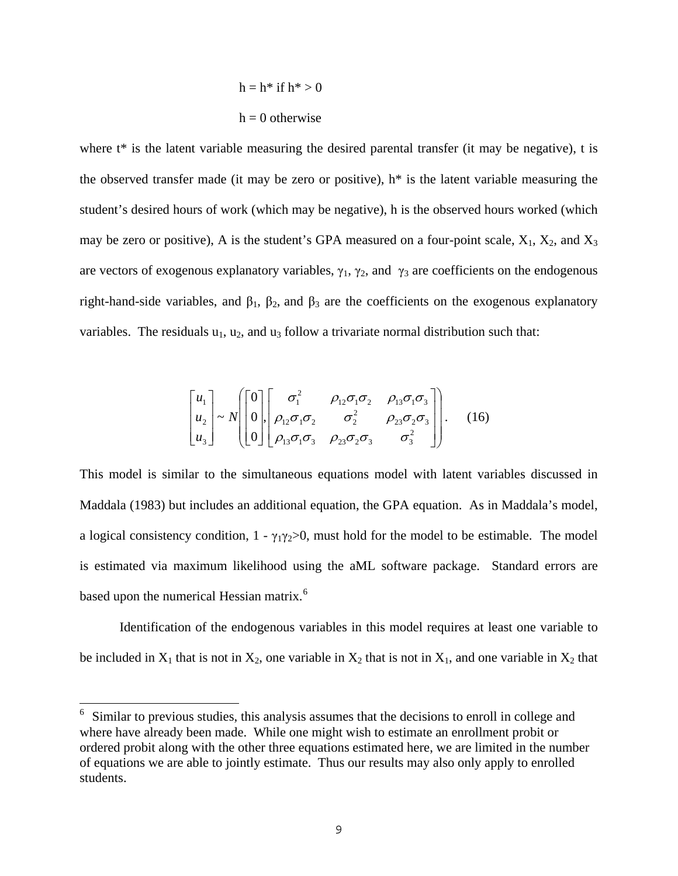$$
h = h^* \text{ if } h^* > 0
$$

$$
h = 0 \text{ otherwise}
$$

where  $t^*$  is the latent variable measuring the desired parental transfer (it may be negative), t is the observed transfer made (it may be zero or positive),  $h^*$  is the latent variable measuring the student's desired hours of work (which may be negative), h is the observed hours worked (which may be zero or positive), A is the student's GPA measured on a four-point scale,  $X_1$ ,  $X_2$ , and  $X_3$ are vectors of exogenous explanatory variables,  $\gamma_1$ ,  $\gamma_2$ , and  $\gamma_3$  are coefficients on the endogenous right-hand-side variables, and  $\beta_1$ ,  $\beta_2$ , and  $\beta_3$  are the coefficients on the exogenous explanatory variables. The residuals  $u_1, u_2$ , and  $u_3$  follow a trivariate normal distribution such that:

$$
\begin{bmatrix} u_1 \\ u_2 \\ u_3 \end{bmatrix} \sim N \begin{bmatrix} 0 \\ 0 \\ 0 \end{bmatrix}, \begin{bmatrix} \sigma_1^2 & \rho_{12} \sigma_1 \sigma_2 & \rho_{13} \sigma_1 \sigma_3 \\ \rho_{12} \sigma_1 \sigma_2 & \sigma_2^2 & \rho_{23} \sigma_2 \sigma_3 \\ \rho_{13} \sigma_1 \sigma_3 & \rho_{23} \sigma_2 \sigma_3 & \sigma_3^2 \end{bmatrix} . \quad (16)
$$

This model is similar to the simultaneous equations model with latent variables discussed in Maddala (1983) but includes an additional equation, the GPA equation. As in Maddala's model, a logical consistency condition,  $1 - \gamma_1 \gamma_2 > 0$ , must hold for the model to be estimable. The model is estimated via maximum likelihood using the aML software package. Standard errors are based upon the numerical Hessian matrix.<sup>6</sup>

Identification of the endogenous variables in this model requires at least one variable to be included in  $X_1$  that is not in  $X_2$ , one variable in  $X_2$  that is not in  $X_1$ , and one variable in  $X_2$  that

÷,

 $6$  Similar to previous studies, this analysis assumes that the decisions to enroll in college and where have already been made. While one might wish to estimate an enrollment probit or ordered probit along with the other three equations estimated here, we are limited in the number of equations we are able to jointly estimate. Thus our results may also only apply to enrolled students.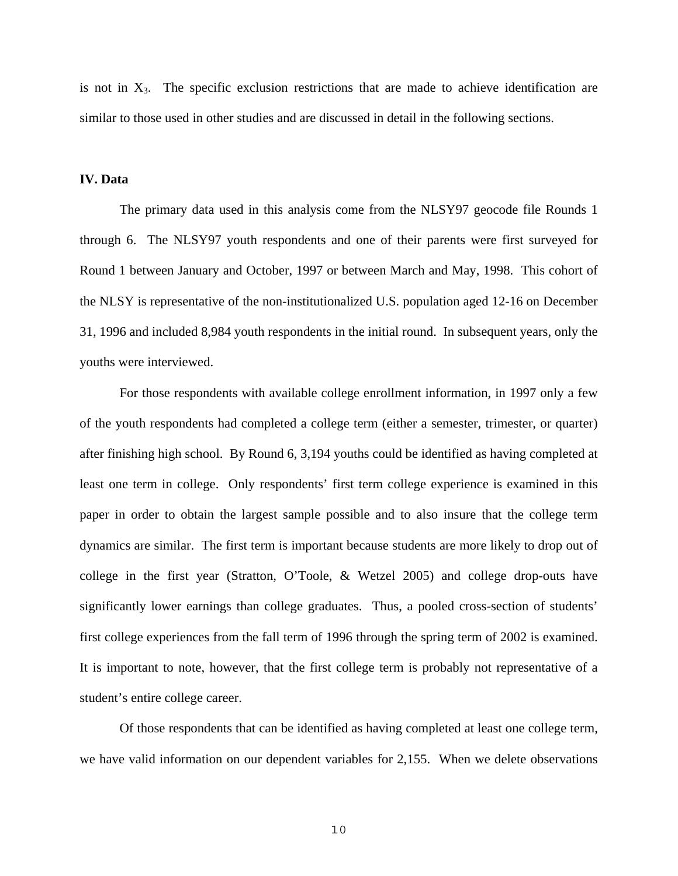is not in  $X_3$ . The specific exclusion restrictions that are made to achieve identification are similar to those used in other studies and are discussed in detail in the following sections.

#### **IV. Data**

The primary data used in this analysis come from the NLSY97 geocode file Rounds 1 through 6. The NLSY97 youth respondents and one of their parents were first surveyed for Round 1 between January and October, 1997 or between March and May, 1998. This cohort of the NLSY is representative of the non-institutionalized U.S. population aged 12-16 on December 31, 1996 and included 8,984 youth respondents in the initial round. In subsequent years, only the youths were interviewed.

For those respondents with available college enrollment information, in 1997 only a few of the youth respondents had completed a college term (either a semester, trimester, or quarter) after finishing high school. By Round 6, 3,194 youths could be identified as having completed at least one term in college. Only respondents' first term college experience is examined in this paper in order to obtain the largest sample possible and to also insure that the college term dynamics are similar. The first term is important because students are more likely to drop out of college in the first year (Stratton, O'Toole, & Wetzel 2005) and college drop-outs have significantly lower earnings than college graduates. Thus, a pooled cross-section of students' first college experiences from the fall term of 1996 through the spring term of 2002 is examined. It is important to note, however, that the first college term is probably not representative of a student's entire college career.

Of those respondents that can be identified as having completed at least one college term, we have valid information on our dependent variables for 2,155. When we delete observations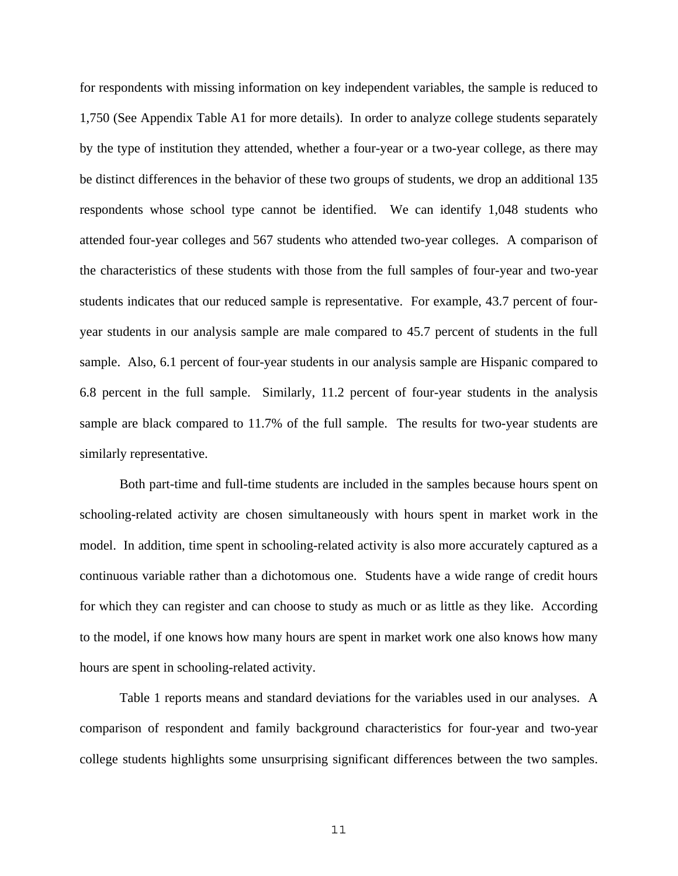for respondents with missing information on key independent variables, the sample is reduced to 1,750 (See Appendix Table A1 for more details). In order to analyze college students separately by the type of institution they attended, whether a four-year or a two-year college, as there may be distinct differences in the behavior of these two groups of students, we drop an additional 135 respondents whose school type cannot be identified. We can identify 1,048 students who attended four-year colleges and 567 students who attended two-year colleges. A comparison of the characteristics of these students with those from the full samples of four-year and two-year students indicates that our reduced sample is representative. For example, 43.7 percent of fouryear students in our analysis sample are male compared to 45.7 percent of students in the full sample. Also, 6.1 percent of four-year students in our analysis sample are Hispanic compared to 6.8 percent in the full sample. Similarly, 11.2 percent of four-year students in the analysis sample are black compared to 11.7% of the full sample. The results for two-year students are similarly representative.

Both part-time and full-time students are included in the samples because hours spent on schooling-related activity are chosen simultaneously with hours spent in market work in the model. In addition, time spent in schooling-related activity is also more accurately captured as a continuous variable rather than a dichotomous one. Students have a wide range of credit hours for which they can register and can choose to study as much or as little as they like. According to the model, if one knows how many hours are spent in market work one also knows how many hours are spent in schooling-related activity.

Table 1 reports means and standard deviations for the variables used in our analyses. A comparison of respondent and family background characteristics for four-year and two-year college students highlights some unsurprising significant differences between the two samples.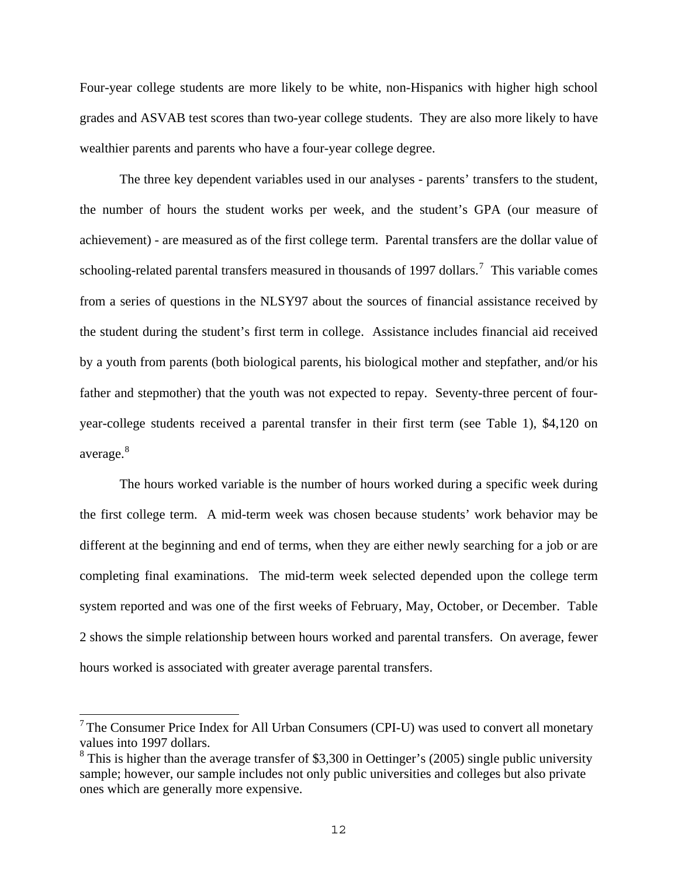Four-year college students are more likely to be white, non-Hispanics with higher high school grades and ASVAB test scores than two-year college students. They are also more likely to have wealthier parents and parents who have a four-year college degree.

The three key dependent variables used in our analyses - parents' transfers to the student, the number of hours the student works per week, and the student's GPA (our measure of achievement) - are measured as of the first college term. Parental transfers are the dollar value of schooling-related parental transfers measured in thousands of 1997 dollars.<sup>7</sup> This variable comes from a series of questions in the NLSY97 about the sources of financial assistance received by the student during the student's first term in college. Assistance includes financial aid received by a youth from parents (both biological parents, his biological mother and stepfather, and/or his father and stepmother) that the youth was not expected to repay. Seventy-three percent of fouryear-college students received a parental transfer in their first term (see Table 1), \$4,120 on average.<sup>8</sup>

The hours worked variable is the number of hours worked during a specific week during the first college term. A mid-term week was chosen because students' work behavior may be different at the beginning and end of terms, when they are either newly searching for a job or are completing final examinations. The mid-term week selected depended upon the college term system reported and was one of the first weeks of February, May, October, or December. Table 2 shows the simple relationship between hours worked and parental transfers. On average, fewer hours worked is associated with greater average parental transfers.

 $7$  The Consumer Price Index for All Urban Consumers (CPI-U) was used to convert all monetary values into 1997 dollars.

<sup>&</sup>lt;sup>8</sup> This is higher than the average transfer of \$3,300 in Oettinger's (2005) single public university sample; however, our sample includes not only public universities and colleges but also private ones which are generally more expensive.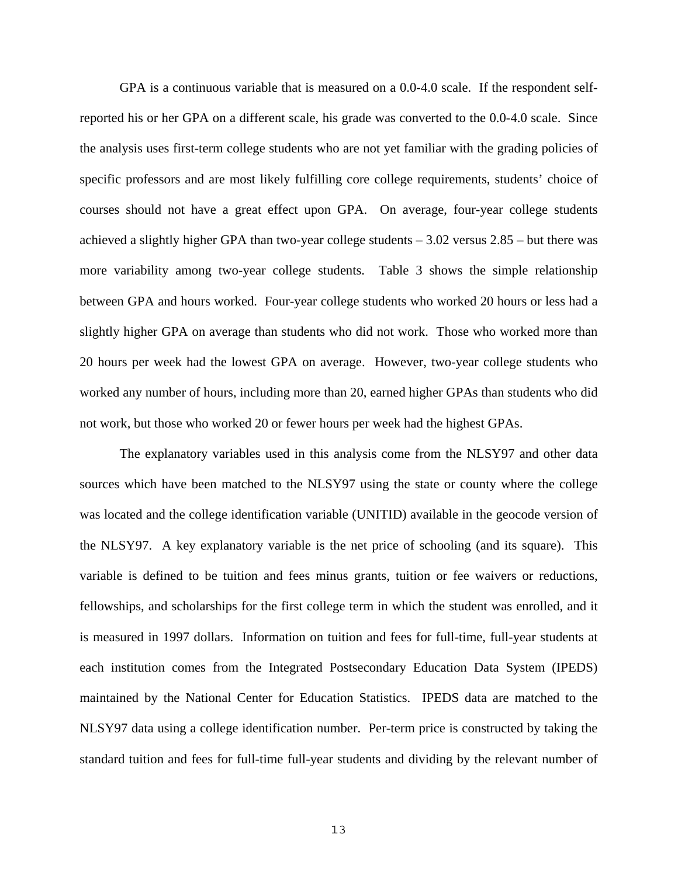GPA is a continuous variable that is measured on a 0.0-4.0 scale. If the respondent selfreported his or her GPA on a different scale, his grade was converted to the 0.0-4.0 scale. Since the analysis uses first-term college students who are not yet familiar with the grading policies of specific professors and are most likely fulfilling core college requirements, students' choice of courses should not have a great effect upon GPA. On average, four-year college students achieved a slightly higher GPA than two-year college students – 3.02 versus 2.85 – but there was more variability among two-year college students. Table 3 shows the simple relationship between GPA and hours worked. Four-year college students who worked 20 hours or less had a slightly higher GPA on average than students who did not work. Those who worked more than 20 hours per week had the lowest GPA on average. However, two-year college students who worked any number of hours, including more than 20, earned higher GPAs than students who did not work, but those who worked 20 or fewer hours per week had the highest GPAs.

The explanatory variables used in this analysis come from the NLSY97 and other data sources which have been matched to the NLSY97 using the state or county where the college was located and the college identification variable (UNITID) available in the geocode version of the NLSY97. A key explanatory variable is the net price of schooling (and its square). This variable is defined to be tuition and fees minus grants, tuition or fee waivers or reductions, fellowships, and scholarships for the first college term in which the student was enrolled, and it is measured in 1997 dollars. Information on tuition and fees for full-time, full-year students at each institution comes from the Integrated Postsecondary Education Data System (IPEDS) maintained by the National Center for Education Statistics. IPEDS data are matched to the NLSY97 data using a college identification number. Per-term price is constructed by taking the standard tuition and fees for full-time full-year students and dividing by the relevant number of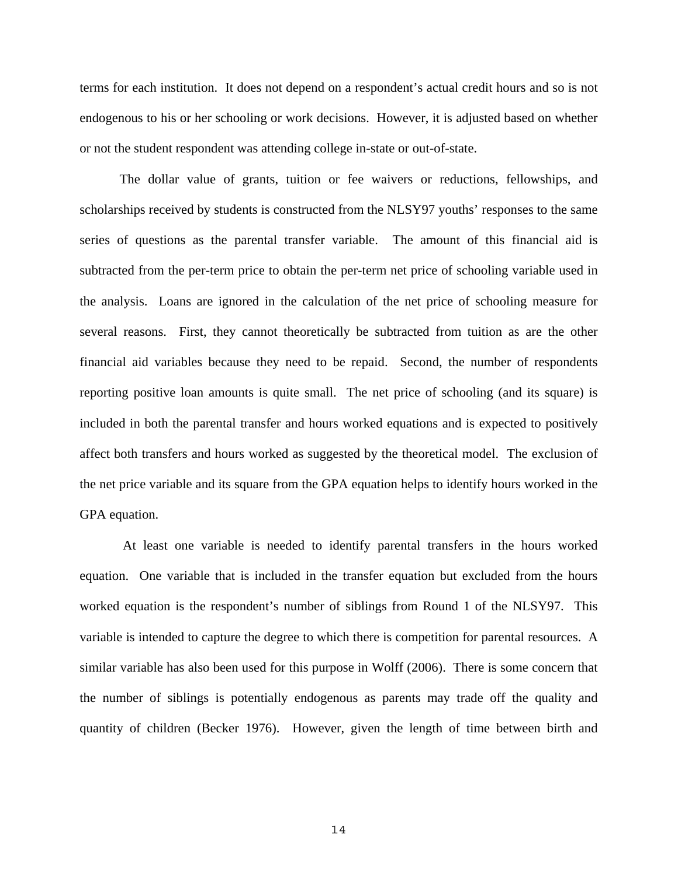terms for each institution. It does not depend on a respondent's actual credit hours and so is not endogenous to his or her schooling or work decisions. However, it is adjusted based on whether or not the student respondent was attending college in-state or out-of-state.

The dollar value of grants, tuition or fee waivers or reductions, fellowships, and scholarships received by students is constructed from the NLSY97 youths' responses to the same series of questions as the parental transfer variable. The amount of this financial aid is subtracted from the per-term price to obtain the per-term net price of schooling variable used in the analysis. Loans are ignored in the calculation of the net price of schooling measure for several reasons. First, they cannot theoretically be subtracted from tuition as are the other financial aid variables because they need to be repaid. Second, the number of respondents reporting positive loan amounts is quite small. The net price of schooling (and its square) is included in both the parental transfer and hours worked equations and is expected to positively affect both transfers and hours worked as suggested by the theoretical model. The exclusion of the net price variable and its square from the GPA equation helps to identify hours worked in the GPA equation.

 At least one variable is needed to identify parental transfers in the hours worked equation. One variable that is included in the transfer equation but excluded from the hours worked equation is the respondent's number of siblings from Round 1 of the NLSY97. This variable is intended to capture the degree to which there is competition for parental resources. A similar variable has also been used for this purpose in Wolff (2006). There is some concern that the number of siblings is potentially endogenous as parents may trade off the quality and quantity of children (Becker 1976). However, given the length of time between birth and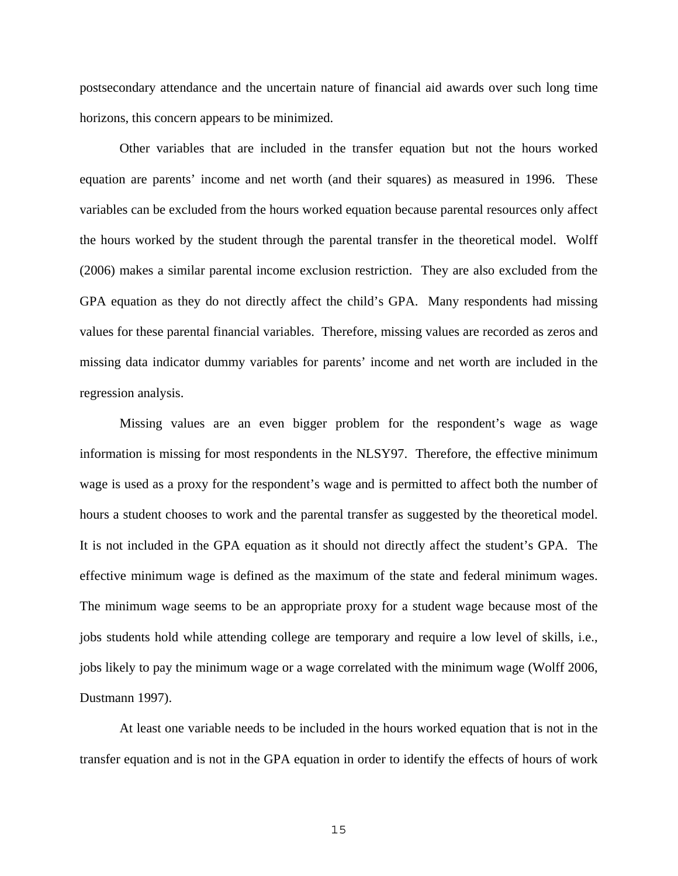postsecondary attendance and the uncertain nature of financial aid awards over such long time horizons, this concern appears to be minimized.

Other variables that are included in the transfer equation but not the hours worked equation are parents' income and net worth (and their squares) as measured in 1996. These variables can be excluded from the hours worked equation because parental resources only affect the hours worked by the student through the parental transfer in the theoretical model. Wolff (2006) makes a similar parental income exclusion restriction. They are also excluded from the GPA equation as they do not directly affect the child's GPA. Many respondents had missing values for these parental financial variables. Therefore, missing values are recorded as zeros and missing data indicator dummy variables for parents' income and net worth are included in the regression analysis.

Missing values are an even bigger problem for the respondent's wage as wage information is missing for most respondents in the NLSY97. Therefore, the effective minimum wage is used as a proxy for the respondent's wage and is permitted to affect both the number of hours a student chooses to work and the parental transfer as suggested by the theoretical model. It is not included in the GPA equation as it should not directly affect the student's GPA. The effective minimum wage is defined as the maximum of the state and federal minimum wages. The minimum wage seems to be an appropriate proxy for a student wage because most of the jobs students hold while attending college are temporary and require a low level of skills, i.e., jobs likely to pay the minimum wage or a wage correlated with the minimum wage (Wolff 2006, Dustmann 1997).

At least one variable needs to be included in the hours worked equation that is not in the transfer equation and is not in the GPA equation in order to identify the effects of hours of work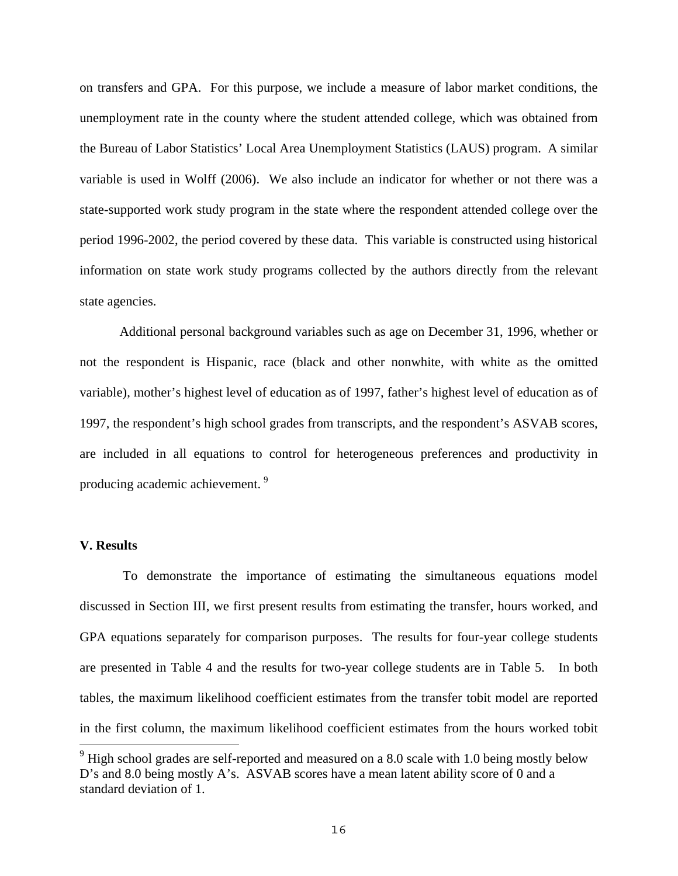on transfers and GPA. For this purpose, we include a measure of labor market conditions, the unemployment rate in the county where the student attended college, which was obtained from the Bureau of Labor Statistics' Local Area Unemployment Statistics (LAUS) program. A similar variable is used in Wolff (2006). We also include an indicator for whether or not there was a state-supported work study program in the state where the respondent attended college over the period 1996-2002, the period covered by these data. This variable is constructed using historical information on state work study programs collected by the authors directly from the relevant state agencies.

Additional personal background variables such as age on December 31, 1996, whether or not the respondent is Hispanic, race (black and other nonwhite, with white as the omitted variable), mother's highest level of education as of 1997, father's highest level of education as of 1997, the respondent's high school grades from transcripts, and the respondent's ASVAB scores, are included in all equations to control for heterogeneous preferences and productivity in producing academic achievement.<sup>9</sup>

#### **V. Results**

a<br>B

 To demonstrate the importance of estimating the simultaneous equations model discussed in Section III, we first present results from estimating the transfer, hours worked, and GPA equations separately for comparison purposes. The results for four-year college students are presented in Table 4 and the results for two-year college students are in Table 5. In both tables, the maximum likelihood coefficient estimates from the transfer tobit model are reported in the first column, the maximum likelihood coefficient estimates from the hours worked tobit

 $9$  High school grades are self-reported and measured on a 8.0 scale with 1.0 being mostly below D's and 8.0 being mostly A's. ASVAB scores have a mean latent ability score of 0 and a standard deviation of 1.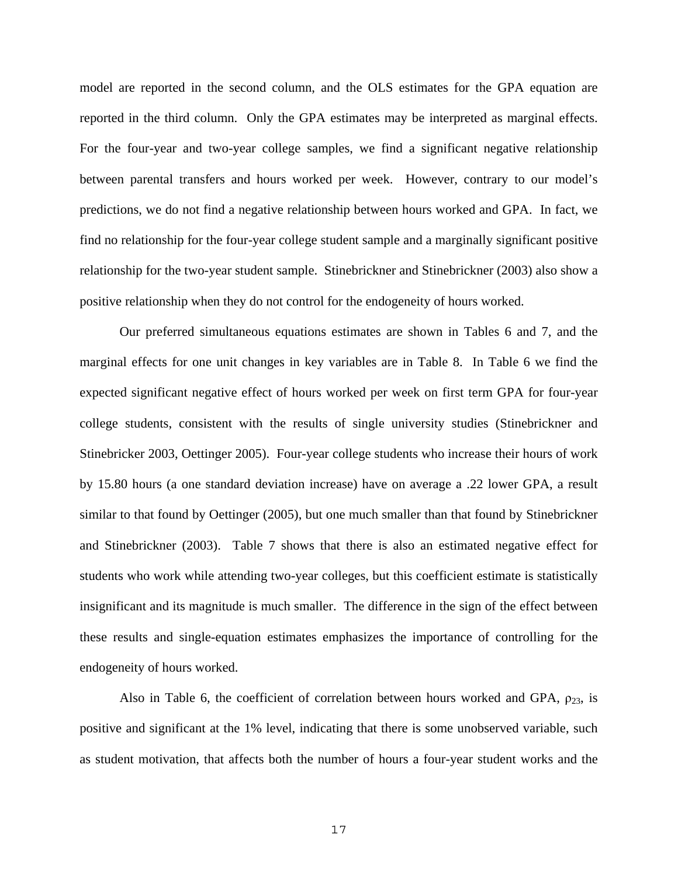model are reported in the second column, and the OLS estimates for the GPA equation are reported in the third column. Only the GPA estimates may be interpreted as marginal effects. For the four-year and two-year college samples, we find a significant negative relationship between parental transfers and hours worked per week. However, contrary to our model's predictions, we do not find a negative relationship between hours worked and GPA. In fact, we find no relationship for the four-year college student sample and a marginally significant positive relationship for the two-year student sample. Stinebrickner and Stinebrickner (2003) also show a positive relationship when they do not control for the endogeneity of hours worked.

Our preferred simultaneous equations estimates are shown in Tables 6 and 7, and the marginal effects for one unit changes in key variables are in Table 8. In Table 6 we find the expected significant negative effect of hours worked per week on first term GPA for four-year college students, consistent with the results of single university studies (Stinebrickner and Stinebricker 2003, Oettinger 2005). Four-year college students who increase their hours of work by 15.80 hours (a one standard deviation increase) have on average a .22 lower GPA, a result similar to that found by Oettinger (2005), but one much smaller than that found by Stinebrickner and Stinebrickner (2003). Table 7 shows that there is also an estimated negative effect for students who work while attending two-year colleges, but this coefficient estimate is statistically insignificant and its magnitude is much smaller. The difference in the sign of the effect between these results and single-equation estimates emphasizes the importance of controlling for the endogeneity of hours worked.

Also in Table 6, the coefficient of correlation between hours worked and GPA,  $\rho_{23}$ , is positive and significant at the 1% level, indicating that there is some unobserved variable, such as student motivation, that affects both the number of hours a four-year student works and the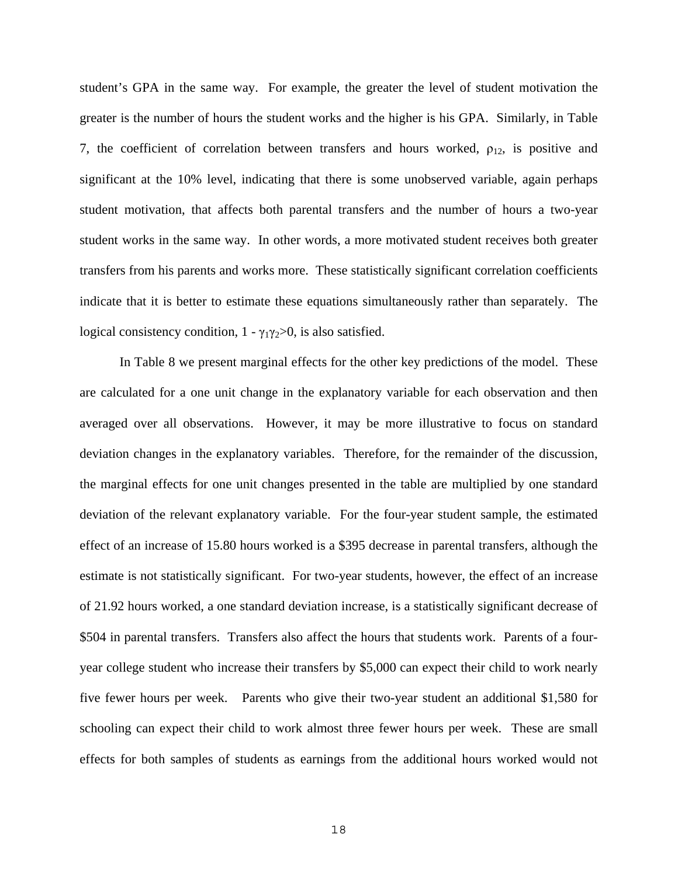student's GPA in the same way. For example, the greater the level of student motivation the greater is the number of hours the student works and the higher is his GPA. Similarly, in Table 7, the coefficient of correlation between transfers and hours worked,  $\rho_{12}$ , is positive and significant at the 10% level, indicating that there is some unobserved variable, again perhaps student motivation, that affects both parental transfers and the number of hours a two-year student works in the same way. In other words, a more motivated student receives both greater transfers from his parents and works more. These statistically significant correlation coefficients indicate that it is better to estimate these equations simultaneously rather than separately. The logical consistency condition,  $1 - \gamma_1 \gamma_2 > 0$ , is also satisfied.

In Table 8 we present marginal effects for the other key predictions of the model. These are calculated for a one unit change in the explanatory variable for each observation and then averaged over all observations. However, it may be more illustrative to focus on standard deviation changes in the explanatory variables. Therefore, for the remainder of the discussion, the marginal effects for one unit changes presented in the table are multiplied by one standard deviation of the relevant explanatory variable. For the four-year student sample, the estimated effect of an increase of 15.80 hours worked is a \$395 decrease in parental transfers, although the estimate is not statistically significant. For two-year students, however, the effect of an increase of 21.92 hours worked, a one standard deviation increase, is a statistically significant decrease of \$504 in parental transfers. Transfers also affect the hours that students work. Parents of a fouryear college student who increase their transfers by \$5,000 can expect their child to work nearly five fewer hours per week. Parents who give their two-year student an additional \$1,580 for schooling can expect their child to work almost three fewer hours per week. These are small effects for both samples of students as earnings from the additional hours worked would not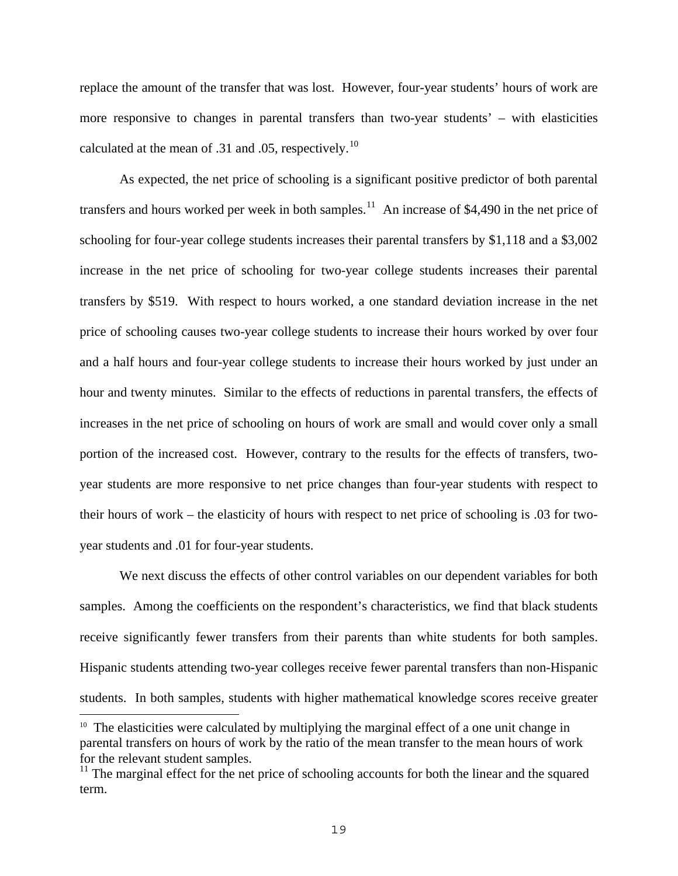replace the amount of the transfer that was lost. However, four-year students' hours of work are more responsive to changes in parental transfers than two-year students' – with elasticities calculated at the mean of .31 and .05, respectively.<sup>10</sup>

As expected, the net price of schooling is a significant positive predictor of both parental transfers and hours worked per week in both samples.<sup>11</sup> An increase of \$4,490 in the net price of schooling for four-year college students increases their parental transfers by \$1,118 and a \$3,002 increase in the net price of schooling for two-year college students increases their parental transfers by \$519. With respect to hours worked, a one standard deviation increase in the net price of schooling causes two-year college students to increase their hours worked by over four and a half hours and four-year college students to increase their hours worked by just under an hour and twenty minutes. Similar to the effects of reductions in parental transfers, the effects of increases in the net price of schooling on hours of work are small and would cover only a small portion of the increased cost. However, contrary to the results for the effects of transfers, twoyear students are more responsive to net price changes than four-year students with respect to their hours of work – the elasticity of hours with respect to net price of schooling is .03 for twoyear students and .01 for four-year students.

We next discuss the effects of other control variables on our dependent variables for both samples. Among the coefficients on the respondent's characteristics, we find that black students receive significantly fewer transfers from their parents than white students for both samples. Hispanic students attending two-year colleges receive fewer parental transfers than non-Hispanic students. In both samples, students with higher mathematical knowledge scores receive greater

e<br>S

 $10$  The elasticities were calculated by multiplying the marginal effect of a one unit change in parental transfers on hours of work by the ratio of the mean transfer to the mean hours of work for the relevant student samples.

 $11$  The marginal effect for the net price of schooling accounts for both the linear and the squared term.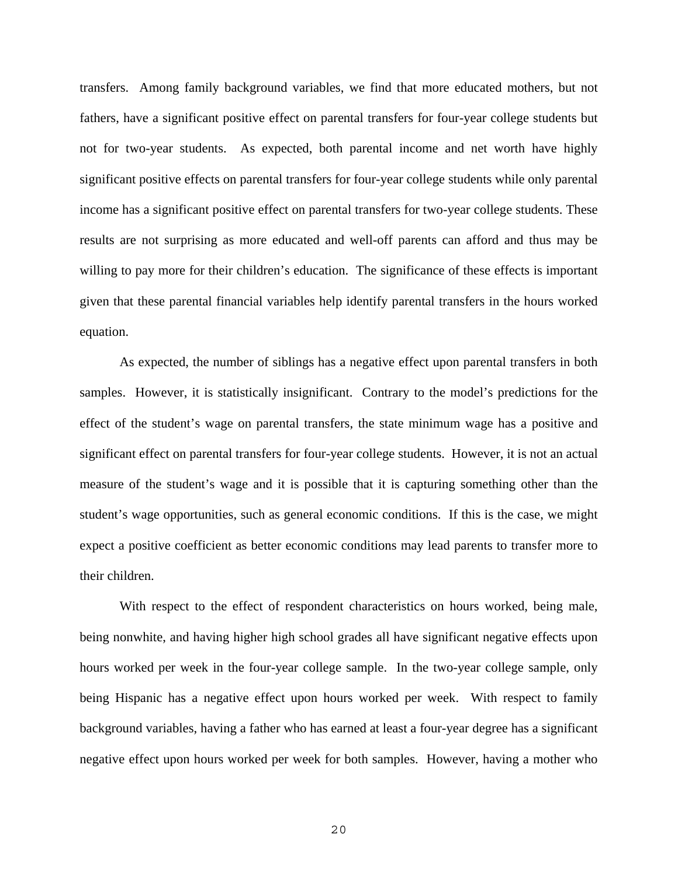transfers. Among family background variables, we find that more educated mothers, but not fathers, have a significant positive effect on parental transfers for four-year college students but not for two-year students. As expected, both parental income and net worth have highly significant positive effects on parental transfers for four-year college students while only parental income has a significant positive effect on parental transfers for two-year college students. These results are not surprising as more educated and well-off parents can afford and thus may be willing to pay more for their children's education. The significance of these effects is important given that these parental financial variables help identify parental transfers in the hours worked equation.

As expected, the number of siblings has a negative effect upon parental transfers in both samples. However, it is statistically insignificant. Contrary to the model's predictions for the effect of the student's wage on parental transfers, the state minimum wage has a positive and significant effect on parental transfers for four-year college students. However, it is not an actual measure of the student's wage and it is possible that it is capturing something other than the student's wage opportunities, such as general economic conditions. If this is the case, we might expect a positive coefficient as better economic conditions may lead parents to transfer more to their children.

 With respect to the effect of respondent characteristics on hours worked, being male, being nonwhite, and having higher high school grades all have significant negative effects upon hours worked per week in the four-year college sample. In the two-year college sample, only being Hispanic has a negative effect upon hours worked per week. With respect to family background variables, having a father who has earned at least a four-year degree has a significant negative effect upon hours worked per week for both samples. However, having a mother who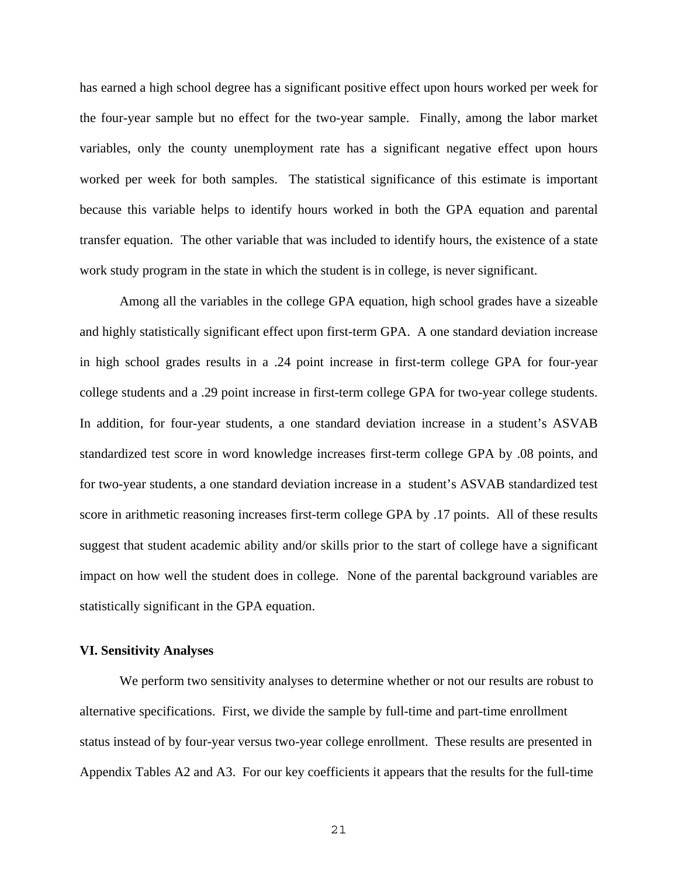has earned a high school degree has a significant positive effect upon hours worked per week for the four-year sample but no effect for the two-year sample. Finally, among the labor market variables, only the county unemployment rate has a significant negative effect upon hours worked per week for both samples. The statistical significance of this estimate is important because this variable helps to identify hours worked in both the GPA equation and parental transfer equation. The other variable that was included to identify hours, the existence of a state work study program in the state in which the student is in college, is never significant.

 Among all the variables in the college GPA equation, high school grades have a sizeable and highly statistically significant effect upon first-term GPA. A one standard deviation increase in high school grades results in a .24 point increase in first-term college GPA for four-year college students and a .29 point increase in first-term college GPA for two-year college students. In addition, for four-year students, a one standard deviation increase in a student's ASVAB standardized test score in word knowledge increases first-term college GPA by .08 points, and for two-year students, a one standard deviation increase in a student's ASVAB standardized test score in arithmetic reasoning increases first-term college GPA by .17 points. All of these results suggest that student academic ability and/or skills prior to the start of college have a significant impact on how well the student does in college. None of the parental background variables are statistically significant in the GPA equation.

#### **VI. Sensitivity Analyses**

We perform two sensitivity analyses to determine whether or not our results are robust to alternative specifications. First, we divide the sample by full-time and part-time enrollment status instead of by four-year versus two-year college enrollment. These results are presented in Appendix Tables A2 and A3. For our key coefficients it appears that the results for the full-time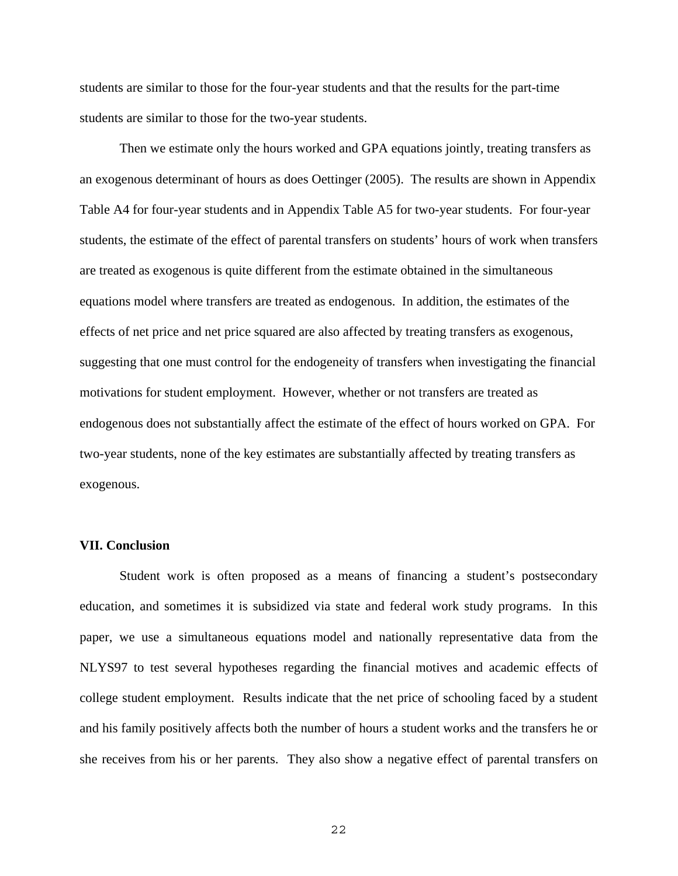students are similar to those for the four-year students and that the results for the part-time students are similar to those for the two-year students.

Then we estimate only the hours worked and GPA equations jointly, treating transfers as an exogenous determinant of hours as does Oettinger (2005). The results are shown in Appendix Table A4 for four-year students and in Appendix Table A5 for two-year students. For four-year students, the estimate of the effect of parental transfers on students' hours of work when transfers are treated as exogenous is quite different from the estimate obtained in the simultaneous equations model where transfers are treated as endogenous. In addition, the estimates of the effects of net price and net price squared are also affected by treating transfers as exogenous, suggesting that one must control for the endogeneity of transfers when investigating the financial motivations for student employment. However, whether or not transfers are treated as endogenous does not substantially affect the estimate of the effect of hours worked on GPA. For two-year students, none of the key estimates are substantially affected by treating transfers as exogenous.

#### **VII. Conclusion**

Student work is often proposed as a means of financing a student's postsecondary education, and sometimes it is subsidized via state and federal work study programs. In this paper, we use a simultaneous equations model and nationally representative data from the NLYS97 to test several hypotheses regarding the financial motives and academic effects of college student employment. Results indicate that the net price of schooling faced by a student and his family positively affects both the number of hours a student works and the transfers he or she receives from his or her parents. They also show a negative effect of parental transfers on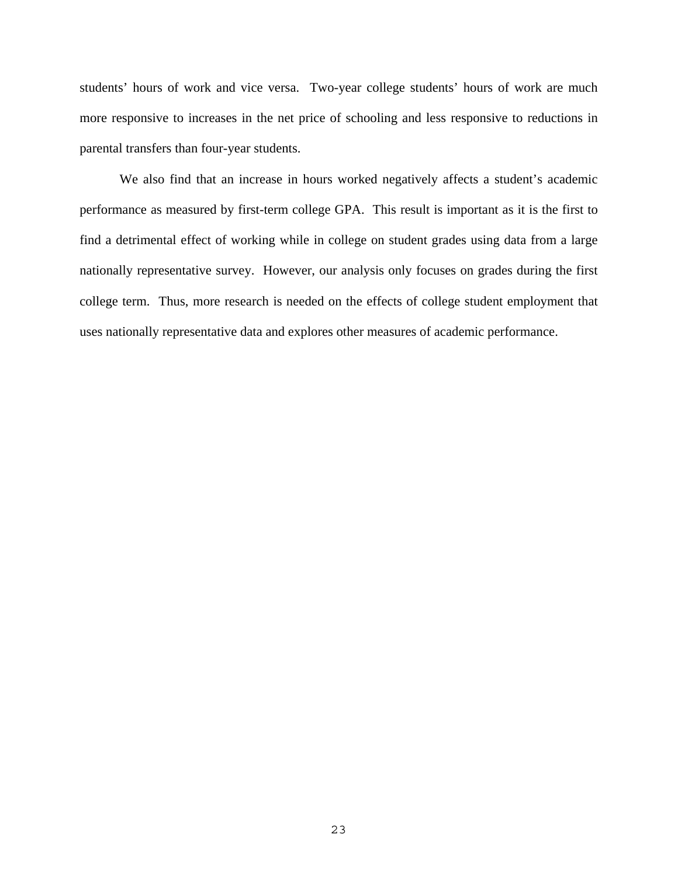students' hours of work and vice versa. Two-year college students' hours of work are much more responsive to increases in the net price of schooling and less responsive to reductions in parental transfers than four-year students.

We also find that an increase in hours worked negatively affects a student's academic performance as measured by first-term college GPA. This result is important as it is the first to find a detrimental effect of working while in college on student grades using data from a large nationally representative survey. However, our analysis only focuses on grades during the first college term. Thus, more research is needed on the effects of college student employment that uses nationally representative data and explores other measures of academic performance.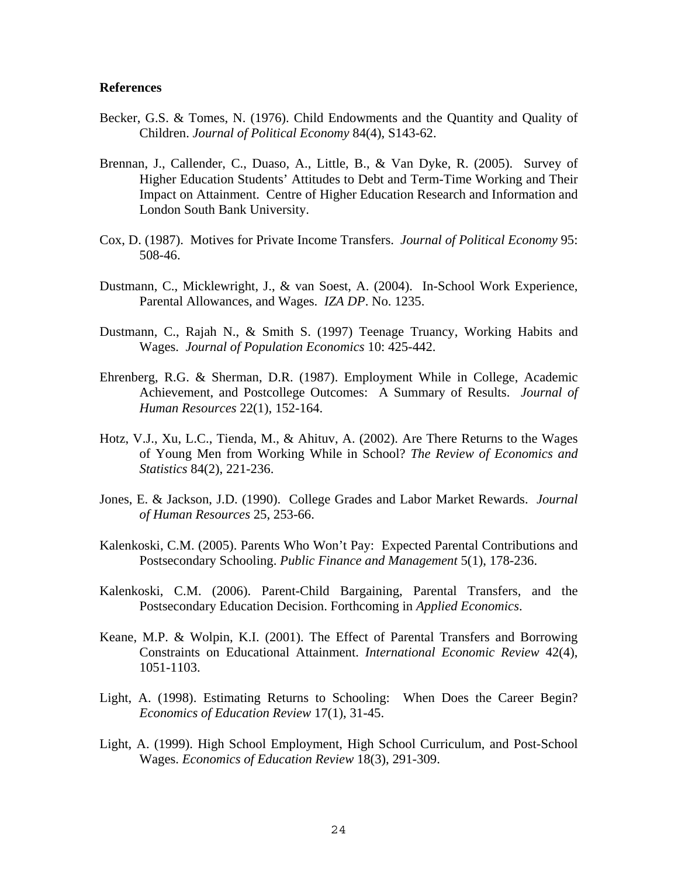#### **References**

- Becker, G.S. & Tomes, N. (1976). Child Endowments and the Quantity and Quality of Children. *Journal of Political Economy* 84(4), S143-62.
- Brennan, J., Callender, C., Duaso, A., Little, B., & Van Dyke, R. (2005). Survey of Higher Education Students' Attitudes to Debt and Term-Time Working and Their Impact on Attainment. Centre of Higher Education Research and Information and London South Bank University.
- Cox, D. (1987). Motives for Private Income Transfers. *Journal of Political Economy* 95: 508-46.
- Dustmann, C., Micklewright, J., & van Soest, A. (2004). In-School Work Experience, Parental Allowances, and Wages. *IZA DP*. No. 1235.
- Dustmann, C., Rajah N., & Smith S. (1997) Teenage Truancy, Working Habits and Wages. *Journal of Population Economics* 10: 425-442.
- Ehrenberg, R.G. & Sherman, D.R. (1987). Employment While in College, Academic Achievement, and Postcollege Outcomes: A Summary of Results. *Journal of Human Resources* 22(1), 152-164.
- Hotz, V.J., Xu, L.C., Tienda, M., & Ahituv, A. (2002). Are There Returns to the Wages of Young Men from Working While in School? *The Review of Economics and Statistics* 84(2), 221-236.
- Jones, E. & Jackson, J.D. (1990). College Grades and Labor Market Rewards. *Journal of Human Resources* 25, 253-66.
- Kalenkoski, C.M. (2005). Parents Who Won't Pay: Expected Parental Contributions and Postsecondary Schooling. *Public Finance and Management* 5(1), 178-236.
- Kalenkoski, C.M. (2006). Parent-Child Bargaining, Parental Transfers, and the Postsecondary Education Decision. Forthcoming in *Applied Economics*.
- Keane, M.P. & Wolpin, K.I. (2001). The Effect of Parental Transfers and Borrowing Constraints on Educational Attainment. *International Economic Review* 42(4), 1051-1103.
- Light, A. (1998). Estimating Returns to Schooling: When Does the Career Begin? *Economics of Education Review* 17(1), 31-45.
- Light, A. (1999). High School Employment, High School Curriculum, and Post-School Wages. *Economics of Education Review* 18(3), 291-309.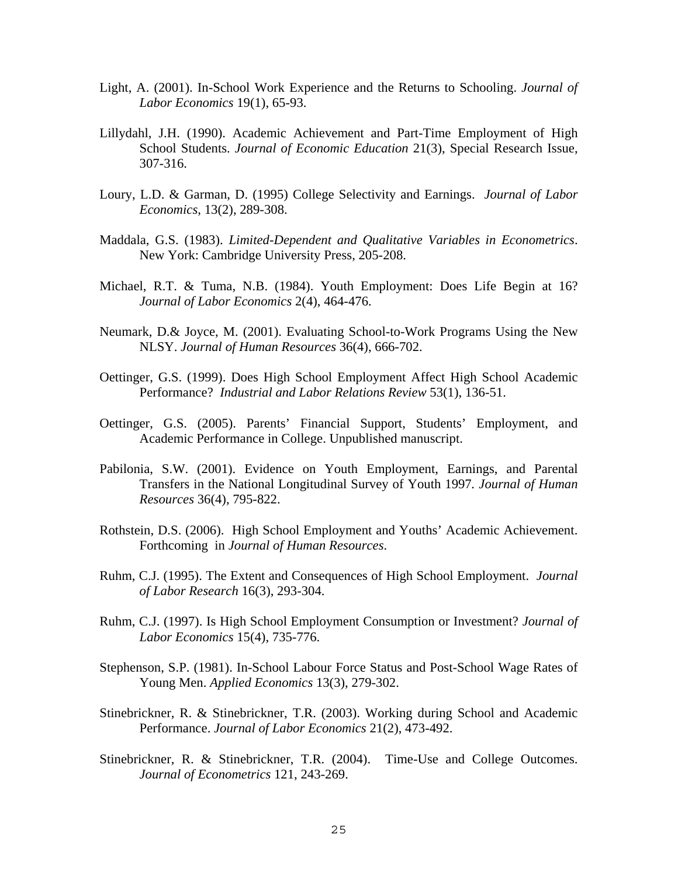- Light, A. (2001). In-School Work Experience and the Returns to Schooling. *Journal of Labor Economics* 19(1), 65-93.
- Lillydahl, J.H. (1990). Academic Achievement and Part-Time Employment of High School Students. *Journal of Economic Education* 21(3), Special Research Issue, 307-316.
- Loury, L.D. & Garman, D. (1995) College Selectivity and Earnings. *Journal of Labor Economics*, 13(2), 289-308.
- Maddala, G.S. (1983). *Limited-Dependent and Qualitative Variables in Econometrics*. New York: Cambridge University Press, 205-208.
- Michael, R.T. & Tuma, N.B. (1984). Youth Employment: Does Life Begin at 16? *Journal of Labor Economics* 2(4), 464-476.
- Neumark, D.& Joyce, M. (2001). Evaluating School-to-Work Programs Using the New NLSY. *Journal of Human Resources* 36(4), 666-702.
- Oettinger, G.S. (1999). Does High School Employment Affect High School Academic Performance? *Industrial and Labor Relations Review* 53(1), 136-51.
- Oettinger, G.S. (2005). Parents' Financial Support, Students' Employment, and Academic Performance in College. Unpublished manuscript.
- Pabilonia, S.W. (2001). Evidence on Youth Employment, Earnings, and Parental Transfers in the National Longitudinal Survey of Youth 1997*. Journal of Human Resources* 36(4), 795-822.
- Rothstein, D.S. (2006). High School Employment and Youths' Academic Achievement. Forthcoming in *Journal of Human Resources*.
- Ruhm, C.J. (1995). The Extent and Consequences of High School Employment. *Journal of Labor Research* 16(3), 293-304.
- Ruhm, C.J. (1997). Is High School Employment Consumption or Investment? *Journal of Labor Economics* 15(4), 735-776.
- Stephenson, S.P. (1981). In-School Labour Force Status and Post-School Wage Rates of Young Men. *Applied Economics* 13(3), 279-302.
- Stinebrickner, R. & Stinebrickner, T.R. (2003). Working during School and Academic Performance. *Journal of Labor Economics* 21(2), 473-492.
- Stinebrickner, R. & Stinebrickner, T.R. (2004). Time-Use and College Outcomes. *Journal of Econometrics* 121, 243-269.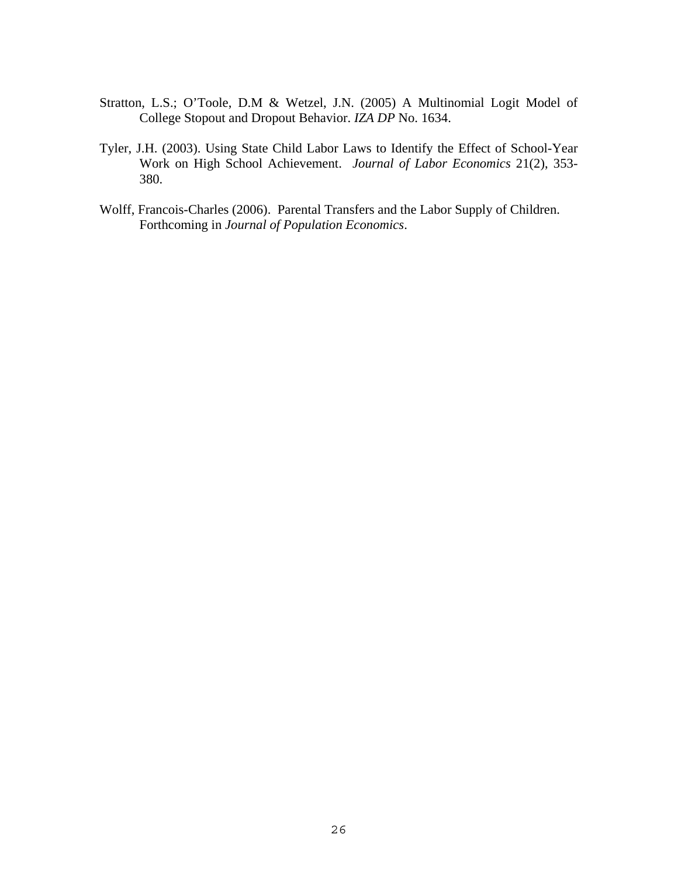- Stratton, L.S.; O'Toole, D.M & Wetzel, J.N. (2005) A Multinomial Logit Model of College Stopout and Dropout Behavior. *IZA DP* No. 1634.
- Tyler, J.H. (2003). Using State Child Labor Laws to Identify the Effect of School-Year Work on High School Achievement. *Journal of Labor Economics* 21(2), 353- 380.
- Wolff, Francois-Charles (2006). Parental Transfers and the Labor Supply of Children. Forthcoming in *Journal of Population Economics*.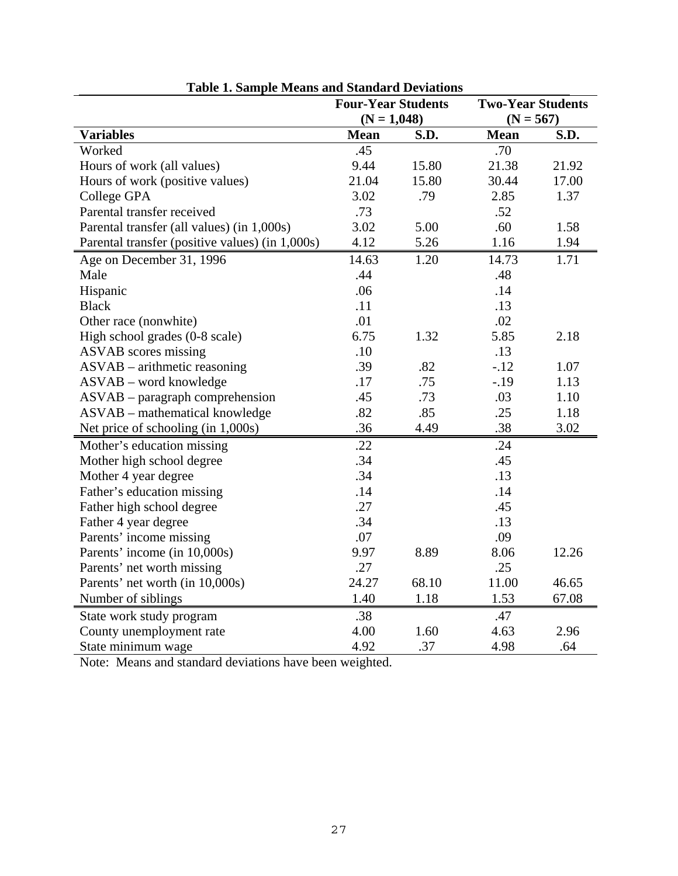|                                                 | <b>Four-Year Students</b> |       | <b>Two-Year Students</b> |       |  |
|-------------------------------------------------|---------------------------|-------|--------------------------|-------|--|
|                                                 | $(N = 1,048)$             |       | $(N = 567)$              |       |  |
| <b>Variables</b>                                | <b>Mean</b>               | S.D.  | <b>Mean</b>              | S.D.  |  |
| Worked                                          | .45                       |       | .70                      |       |  |
| Hours of work (all values)                      | 9.44                      | 15.80 | 21.38                    | 21.92 |  |
| Hours of work (positive values)                 | 21.04                     | 15.80 | 30.44                    | 17.00 |  |
| College GPA                                     | 3.02                      | .79   | 2.85                     | 1.37  |  |
| Parental transfer received                      | .73                       |       | .52                      |       |  |
| Parental transfer (all values) (in 1,000s)      | 3.02                      | 5.00  | .60                      | 1.58  |  |
| Parental transfer (positive values) (in 1,000s) | 4.12                      | 5.26  | 1.16                     | 1.94  |  |
| Age on December 31, 1996                        | 14.63                     | 1.20  | 14.73                    | 1.71  |  |
| Male                                            | .44                       |       | .48                      |       |  |
| Hispanic                                        | .06                       |       | .14                      |       |  |
| <b>Black</b>                                    | .11                       |       | .13                      |       |  |
| Other race (nonwhite)                           | .01                       |       | .02                      |       |  |
| High school grades (0-8 scale)                  | 6.75                      | 1.32  | 5.85                     | 2.18  |  |
| <b>ASVAB</b> scores missing                     | .10                       |       | .13                      |       |  |
| $ASVAB - arithmetic reasoning$                  | .39                       | .82   | $-12$                    | 1.07  |  |
| ASVAB - word knowledge                          | .17                       | .75   | $-19$                    | 1.13  |  |
| ASVAB - paragraph comprehension                 | .45                       | .73   | .03                      | 1.10  |  |
| ASVAB - mathematical knowledge                  | .82                       | .85   | .25                      | 1.18  |  |
| Net price of schooling (in 1,000s)              | .36                       | 4.49  | .38                      | 3.02  |  |
| Mother's education missing                      | .22                       |       | .24                      |       |  |
| Mother high school degree                       | .34                       |       | .45                      |       |  |
| Mother 4 year degree                            | .34                       |       | .13                      |       |  |
| Father's education missing                      | .14                       |       | .14                      |       |  |
| Father high school degree                       | .27                       |       | .45                      |       |  |
| Father 4 year degree                            | .34                       |       | .13                      |       |  |
| Parents' income missing                         | .07                       |       | .09                      |       |  |
| Parents' income (in 10,000s)                    | 9.97                      | 8.89  | 8.06                     | 12.26 |  |
| Parents' net worth missing                      | .27                       |       | .25                      |       |  |
| Parents' net worth (in 10,000s)                 | 24.27                     | 68.10 | 11.00                    | 46.65 |  |
| Number of siblings                              | 1.40                      | 1.18  | 1.53                     | 67.08 |  |
| State work study program                        | .38                       |       | .47                      |       |  |
| County unemployment rate                        | 4.00                      | 1.60  | 4.63                     | 2.96  |  |
| State minimum wage                              | 4.92                      | .37   | 4.98                     | .64   |  |

**Table 1. Sample Means and Standard Deviations** 

Note: Means and standard deviations have been weighted.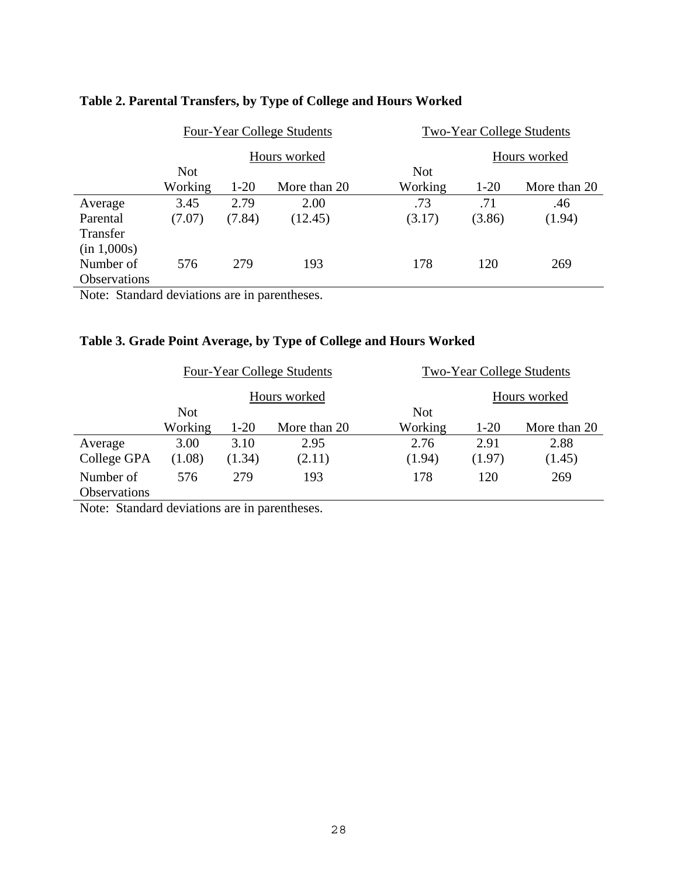|                     |            | <b>Four-Year College Students</b> |              |            | <b>Two-Year College Students</b> |              |
|---------------------|------------|-----------------------------------|--------------|------------|----------------------------------|--------------|
|                     |            |                                   | Hours worked |            |                                  | Hours worked |
|                     | <b>Not</b> |                                   |              | <b>Not</b> |                                  |              |
|                     | Working    | $1-20$                            | More than 20 | Working    | $1-20$                           | More than 20 |
| Average             | 3.45       | 2.79                              | 2.00         | .73        | .71                              | .46          |
| Parental            | (7.07)     | (7.84)                            | (12.45)      | (3.17)     | (3.86)                           | (1.94)       |
| Transfer            |            |                                   |              |            |                                  |              |
| (in 1,000s)         |            |                                   |              |            |                                  |              |
| Number of           | 576        | 279                               | 193          | 178        | 120                              | 269          |
| <b>Observations</b> |            |                                   |              |            |                                  |              |

# **Table 2. Parental Transfers, by Type of College and Hours Worked**

Note: Standard deviations are in parentheses.

# **Table 3. Grade Point Average, by Type of College and Hours Worked**

|                           |            |        | <b>Four-Year College Students</b> |            |        | <b>Two-Year College Students</b> |
|---------------------------|------------|--------|-----------------------------------|------------|--------|----------------------------------|
|                           |            |        | Hours worked                      |            |        | Hours worked                     |
|                           | <b>Not</b> |        |                                   | <b>Not</b> |        |                                  |
|                           | Working    | $1-20$ | More than 20                      | Working    | $1-20$ | More than 20                     |
| Average                   | 3.00       | 3.10   | 2.95                              | 2.76       | 2.91   | 2.88                             |
| College GPA               | (1.08)     | (1.34) | (2.11)                            | (1.94)     | (1.97) | (1.45)                           |
| Number of<br>Observations | 576        | 279    | 193                               | 178        | 120    | 269                              |

Note: Standard deviations are in parentheses.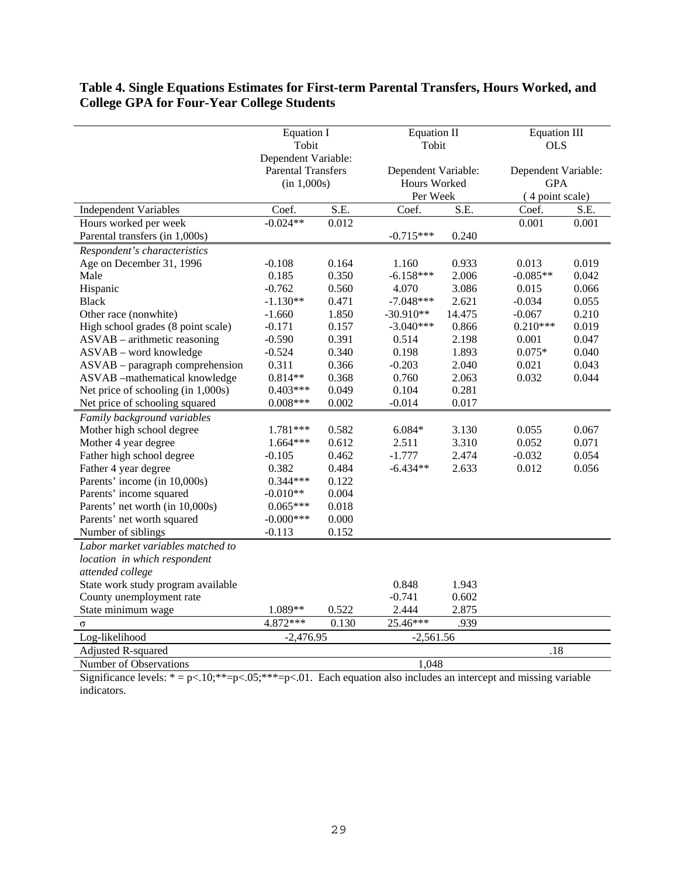## **Table 4. Single Equations Estimates for First-term Parental Transfers, Hours Worked, and College GPA for Four-Year College Students**

|                                    | <b>Equation I</b><br>Tobit                                      |       | <b>Equation II</b><br>Tobit         |        | <b>Equation III</b><br><b>OLS</b> |       |
|------------------------------------|-----------------------------------------------------------------|-------|-------------------------------------|--------|-----------------------------------|-------|
|                                    | Dependent Variable:<br><b>Parental Transfers</b><br>(in 1,000s) |       | Dependent Variable:<br>Hours Worked |        | Dependent Variable:<br><b>GPA</b> |       |
|                                    |                                                                 |       | Per Week                            |        | (4 point scale)                   |       |
| <b>Independent Variables</b>       | Coef.                                                           | S.E.  | Coef.                               | S.E.   | Coef.                             | S.E.  |
| Hours worked per week              | $-0.024**$                                                      | 0.012 |                                     |        | 0.001                             | 0.001 |
| Parental transfers (in 1,000s)     |                                                                 |       | $-0.715***$                         | 0.240  |                                   |       |
| Respondent's characteristics       |                                                                 |       |                                     |        |                                   |       |
| Age on December 31, 1996           | $-0.108$                                                        | 0.164 | 1.160                               | 0.933  | 0.013                             | 0.019 |
| Male                               | 0.185                                                           | 0.350 | $-6.158***$                         | 2.006  | $-0.085**$                        | 0.042 |
| Hispanic                           | $-0.762$                                                        | 0.560 | 4.070                               | 3.086  | 0.015                             | 0.066 |
| <b>Black</b>                       | $-1.130**$                                                      | 0.471 | $-7.048***$                         | 2.621  | $-0.034$                          | 0.055 |
| Other race (nonwhite)              | $-1.660$                                                        | 1.850 | $-30.910**$                         | 14.475 | $-0.067$                          | 0.210 |
| High school grades (8 point scale) | $-0.171$                                                        | 0.157 | $-3.040***$                         | 0.866  | $0.210***$                        | 0.019 |
| $ASVAB - arithmetic reasoning$     | $-0.590$                                                        | 0.391 | 0.514                               | 2.198  | 0.001                             | 0.047 |
| ASVAB - word knowledge             | $-0.524$                                                        | 0.340 | 0.198                               | 1.893  | $0.075*$                          | 0.040 |
| $ASVAB$ – paragraph comprehension  | 0.311                                                           | 0.366 | $-0.203$                            | 2.040  | 0.021                             | 0.043 |
| ASVAB -mathematical knowledge      | $0.814**$                                                       | 0.368 | 0.760                               | 2.063  | 0.032                             | 0.044 |
| Net price of schooling (in 1,000s) | $0.403***$                                                      | 0.049 | 0.104                               | 0.281  |                                   |       |
| Net price of schooling squared     | $0.008***$                                                      | 0.002 | $-0.014$                            | 0.017  |                                   |       |
| Family background variables        |                                                                 |       |                                     |        |                                   |       |
| Mother high school degree          | $1.781***$                                                      | 0.582 | $6.084*$                            | 3.130  | 0.055                             | 0.067 |
| Mother 4 year degree               | $1.664***$                                                      | 0.612 | 2.511                               | 3.310  | 0.052                             | 0.071 |
| Father high school degree          | $-0.105$                                                        | 0.462 | $-1.777$                            | 2.474  | $-0.032$                          | 0.054 |
| Father 4 year degree               | 0.382                                                           | 0.484 | $-6.434**$                          | 2.633  | 0.012                             | 0.056 |
| Parents' income (in 10,000s)       | $0.344***$                                                      | 0.122 |                                     |        |                                   |       |
| Parents' income squared            | $-0.010**$                                                      | 0.004 |                                     |        |                                   |       |
| Parents' net worth (in 10,000s)    | $0.065***$                                                      | 0.018 |                                     |        |                                   |       |
| Parents' net worth squared         | $-0.000$ ***                                                    | 0.000 |                                     |        |                                   |       |
| Number of siblings                 | $-0.113$                                                        | 0.152 |                                     |        |                                   |       |
| Labor market variables matched to  |                                                                 |       |                                     |        |                                   |       |
| location in which respondent       |                                                                 |       |                                     |        |                                   |       |
| attended college                   |                                                                 |       |                                     |        |                                   |       |
| State work study program available |                                                                 |       | 0.848                               | 1.943  |                                   |       |
| County unemployment rate           |                                                                 |       | $-0.741$                            | 0.602  |                                   |       |
| State minimum wage                 | 1.089**                                                         | 0.522 | 2.444                               | 2.875  |                                   |       |
| $\sigma$                           | 4.872 ***                                                       | 0.130 | 25.46***                            | .939   |                                   |       |
| Log-likelihood                     | $-2,476.95$                                                     |       | $-2,561.56$                         |        |                                   |       |
| Adjusted R-squared                 |                                                                 |       |                                     |        | .18                               |       |
| Number of Observations             |                                                                 |       | 1,048                               |        |                                   |       |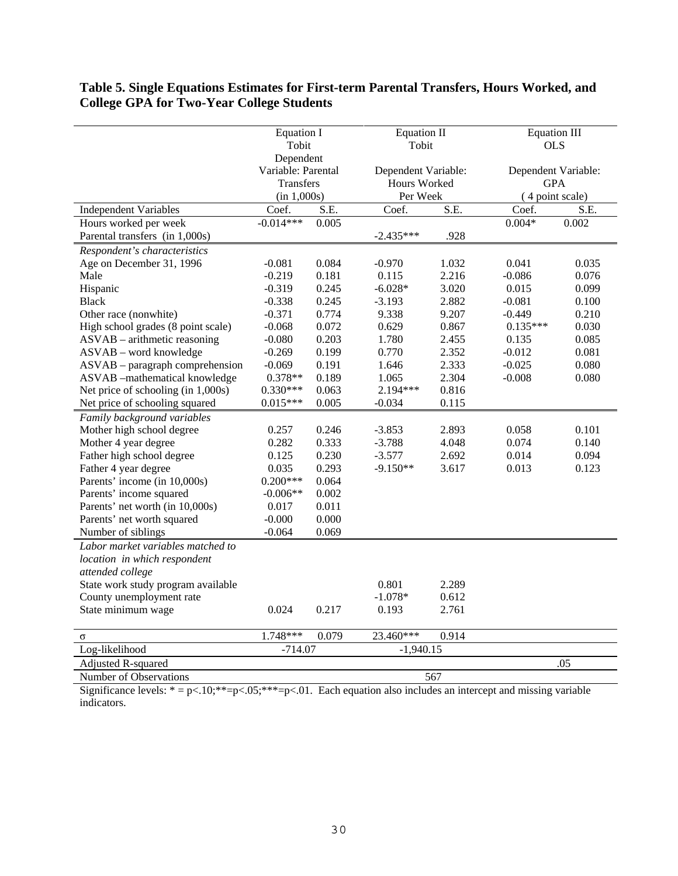## **Table 5. Single Equations Estimates for First-term Parental Transfers, Hours Worked, and College GPA for Two-Year College Students**

|                                    | <b>Equation I</b> |                    |              | Equation II         |                     | <b>Equation III</b> |
|------------------------------------|-------------------|--------------------|--------------|---------------------|---------------------|---------------------|
|                                    | Tobit             |                    | Tobit        |                     | <b>OLS</b>          |                     |
|                                    | Dependent         |                    |              |                     |                     |                     |
|                                    |                   | Variable: Parental |              | Dependent Variable: | Dependent Variable: |                     |
|                                    | Transfers         |                    | Hours Worked |                     | <b>GPA</b>          |                     |
|                                    | (in 1,000s)       |                    | Per Week     |                     | (4 point scale)     |                     |
| <b>Independent Variables</b>       | Coef.             | S.E.               | Coef.        | S.E.                | Coef.               | S.E.                |
| Hours worked per week              | $-0.014***$       | 0.005              |              |                     | $0.004*$            | 0.002               |
| Parental transfers (in 1,000s)     |                   |                    | $-2.435***$  | .928                |                     |                     |
| Respondent's characteristics       |                   |                    |              |                     |                     |                     |
| Age on December 31, 1996           | $-0.081$          | 0.084              | $-0.970$     | 1.032               | 0.041               | 0.035               |
| Male                               | $-0.219$          | 0.181              | 0.115        | 2.216               | $-0.086$            | 0.076               |
| Hispanic                           | $-0.319$          | 0.245              | $-6.028*$    | 3.020               | 0.015               | 0.099               |
| <b>Black</b>                       | $-0.338$          | 0.245              | $-3.193$     | 2.882               | $-0.081$            | 0.100               |
| Other race (nonwhite)              | $-0.371$          | 0.774              | 9.338        | 9.207               | $-0.449$            | 0.210               |
| High school grades (8 point scale) | $-0.068$          | 0.072              | 0.629        | 0.867               | $0.135***$          | 0.030               |
| $ASVAB - arithmetic reasoning$     | $-0.080$          | 0.203              | 1.780        | 2.455               | 0.135               | 0.085               |
| ASVAB - word knowledge             | $-0.269$          | 0.199              | 0.770        | 2.352               | $-0.012$            | 0.081               |
| $ASVAB$ – paragraph comprehension  | $-0.069$          | 0.191              | 1.646        | 2.333               | $-0.025$            | 0.080               |
| ASVAB -mathematical knowledge      | $0.378**$         | 0.189              | 1.065        | 2.304               | $-0.008$            | 0.080               |
| Net price of schooling (in 1,000s) | $0.330***$        | 0.063              | 2.194***     | 0.816               |                     |                     |
| Net price of schooling squared     | $0.015***$        | 0.005              | $-0.034$     | 0.115               |                     |                     |
| Family background variables        |                   |                    |              |                     |                     |                     |
| Mother high school degree          | 0.257             | 0.246              | $-3.853$     | 2.893               | 0.058               | 0.101               |
| Mother 4 year degree               | 0.282             | 0.333              | $-3.788$     | 4.048               | 0.074               | 0.140               |
| Father high school degree          | 0.125             | 0.230              | $-3.577$     | 2.692               | 0.014               | 0.094               |
| Father 4 year degree               | 0.035             | 0.293              | $-9.150**$   | 3.617               | 0.013               | 0.123               |
| Parents' income (in 10,000s)       | $0.200***$        | 0.064              |              |                     |                     |                     |
| Parents' income squared            | $-0.006**$        | 0.002              |              |                     |                     |                     |
| Parents' net worth (in 10,000s)    | 0.017             | 0.011              |              |                     |                     |                     |
| Parents' net worth squared         | $-0.000$          | 0.000              |              |                     |                     |                     |
| Number of siblings                 | $-0.064$          | 0.069              |              |                     |                     |                     |
| Labor market variables matched to  |                   |                    |              |                     |                     |                     |
| location in which respondent       |                   |                    |              |                     |                     |                     |
| attended college                   |                   |                    |              |                     |                     |                     |
| State work study program available |                   |                    | 0.801        | 2.289               |                     |                     |
| County unemployment rate           |                   |                    | $-1.078*$    | 0.612               |                     |                     |
| State minimum wage                 | 0.024             | 0.217              | 0.193        | 2.761               |                     |                     |
|                                    |                   |                    |              |                     |                     |                     |
| $\sigma$                           | 1.748***          | 0.079              | 23.460***    | 0.914               |                     |                     |
| Log-likelihood                     | $-714.07$         |                    | $-1,940.15$  |                     |                     |                     |
| Adjusted R-squared                 |                   |                    |              |                     |                     | .05                 |
| Number of Observations             |                   |                    |              | 567                 |                     |                     |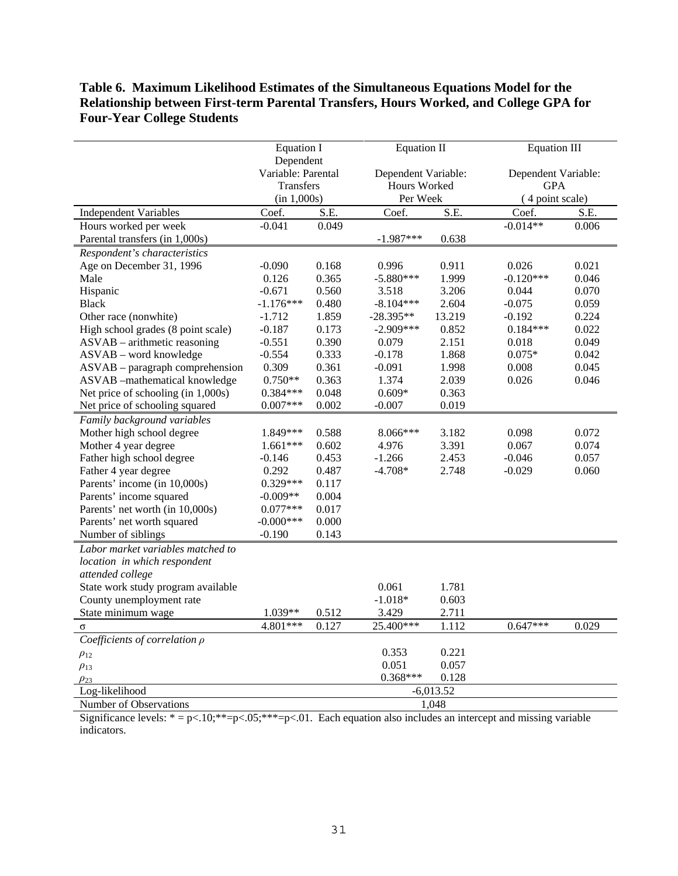## **Table 6. Maximum Likelihood Estimates of the Simultaneous Equations Model for the Relationship between First-term Parental Transfers, Hours Worked, and College GPA for Four-Year College Students**

|                                    | <b>Equation I</b>  |       |              | Equation II         |                 | <b>Equation III</b> |  |
|------------------------------------|--------------------|-------|--------------|---------------------|-----------------|---------------------|--|
|                                    | Dependent          |       |              |                     |                 |                     |  |
|                                    | Variable: Parental |       |              | Dependent Variable: |                 | Dependent Variable: |  |
|                                    | Transfers          |       | Hours Worked |                     | <b>GPA</b>      |                     |  |
|                                    | (in 1,000s)        |       | Per Week     |                     | (4 point scale) |                     |  |
| <b>Independent Variables</b>       | Coef.              | S.E.  | Coef.        | S.E.                | Coef.           | S.E.                |  |
| Hours worked per week              | $-0.041$           | 0.049 |              |                     | $-0.014**$      | 0.006               |  |
| Parental transfers (in 1,000s)     |                    |       | $-1.987***$  | 0.638               |                 |                     |  |
| Respondent's characteristics       |                    |       |              |                     |                 |                     |  |
| Age on December 31, 1996           | $-0.090$           | 0.168 | 0.996        | 0.911               | 0.026           | 0.021               |  |
| Male                               | 0.126              | 0.365 | $-5.880***$  | 1.999               | $-0.120***$     | 0.046               |  |
| Hispanic                           | $-0.671$           | 0.560 | 3.518        | 3.206               | 0.044           | 0.070               |  |
| <b>Black</b>                       | $-1.176***$        | 0.480 | $-8.104***$  | 2.604               | $-0.075$        | 0.059               |  |
| Other race (nonwhite)              | $-1.712$           | 1.859 | $-28.395**$  | 13.219              | $-0.192$        | 0.224               |  |
| High school grades (8 point scale) | $-0.187$           | 0.173 | $-2.909***$  | 0.852               | $0.184***$      | 0.022               |  |
| $ASVAB - arithmetic reasoning$     | $-0.551$           | 0.390 | 0.079        | 2.151               | 0.018           | 0.049               |  |
| ASVAB - word knowledge             | $-0.554$           | 0.333 | $-0.178$     | 1.868               | $0.075*$        | 0.042               |  |
| ASVAB - paragraph comprehension    | 0.309              | 0.361 | $-0.091$     | 1.998               | 0.008           | 0.045               |  |
| ASVAB -mathematical knowledge      | $0.750**$          | 0.363 | 1.374        | 2.039               | 0.026           | 0.046               |  |
| Net price of schooling (in 1,000s) | $0.384***$         | 0.048 | $0.609*$     | 0.363               |                 |                     |  |
| Net price of schooling squared     | $0.007***$         | 0.002 | $-0.007$     | 0.019               |                 |                     |  |
| Family background variables        |                    |       |              |                     |                 |                     |  |
| Mother high school degree          | 1.849***           | 0.588 | $8.066***$   | 3.182               | 0.098           | 0.072               |  |
| Mother 4 year degree               | $1.661***$         | 0.602 | 4.976        | 3.391               | 0.067           | 0.074               |  |
| Father high school degree          | $-0.146$           | 0.453 | $-1.266$     | 2.453               | $-0.046$        | 0.057               |  |
| Father 4 year degree               | 0.292              | 0.487 | $-4.708*$    | 2.748               | $-0.029$        | 0.060               |  |
| Parents' income (in 10,000s)       | $0.329***$         | 0.117 |              |                     |                 |                     |  |
| Parents' income squared            | $-0.009**$         | 0.004 |              |                     |                 |                     |  |
| Parents' net worth (in 10,000s)    | $0.077***$         | 0.017 |              |                     |                 |                     |  |
| Parents' net worth squared         | $-0.000$ ***       | 0.000 |              |                     |                 |                     |  |
| Number of siblings                 | $-0.190$           | 0.143 |              |                     |                 |                     |  |
| Labor market variables matched to  |                    |       |              |                     |                 |                     |  |
| location in which respondent       |                    |       |              |                     |                 |                     |  |
| attended college                   |                    |       |              |                     |                 |                     |  |
| State work study program available |                    |       | 0.061        | 1.781               |                 |                     |  |
| County unemployment rate           |                    |       | $-1.018*$    | 0.603               |                 |                     |  |
| State minimum wage                 | $1.039**$          | 0.512 | 3.429        | 2.711               |                 |                     |  |
| Q                                  | 4.801***           | 0.127 | 25.400***    | 1.112               | $0.647***$      | 0.029               |  |
| Coefficients of correlation $\rho$ |                    |       |              |                     |                 |                     |  |
| $\rho_{12}$                        |                    |       | 0.353        | 0.221               |                 |                     |  |
| $\rho_{13}$                        |                    |       | 0.051        | 0.057               |                 |                     |  |
| $\rho_{23}$                        |                    |       | $0.368***$   | 0.128               |                 |                     |  |
| Log-likelihood                     |                    |       |              | $-6,013.52$         |                 |                     |  |
| Number of Observations             |                    |       |              | 1,048               |                 |                     |  |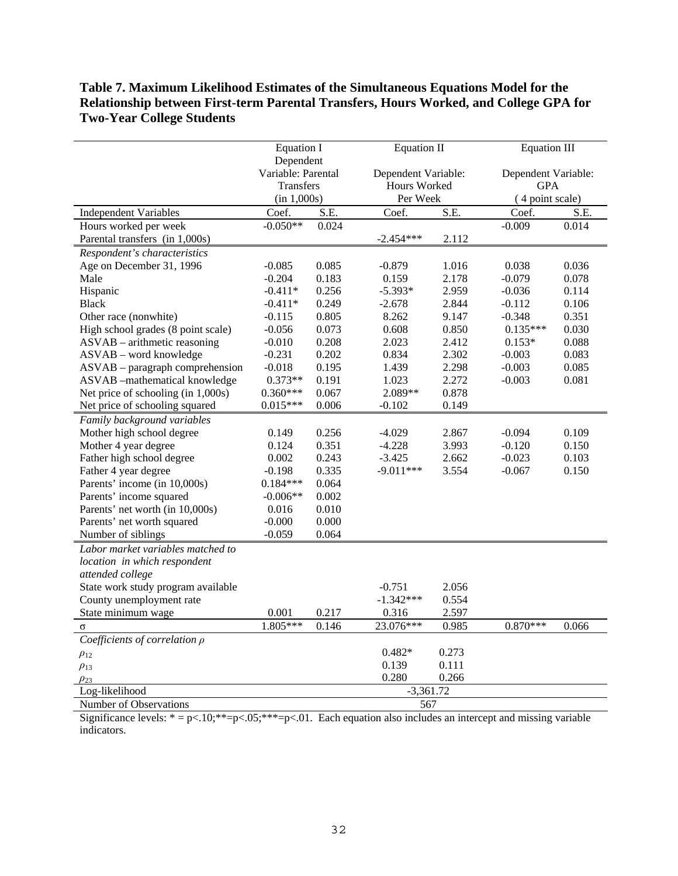## **Table 7. Maximum Likelihood Estimates of the Simultaneous Equations Model for the Relationship between First-term Parental Transfers, Hours Worked, and College GPA for Two-Year College Students**

|                                    | <b>Equation I</b>  |           |                     | <b>Equation II</b> |                     | <b>Equation III</b> |  |
|------------------------------------|--------------------|-----------|---------------------|--------------------|---------------------|---------------------|--|
|                                    | Dependent          |           |                     |                    |                     |                     |  |
|                                    | Variable: Parental |           | Dependent Variable: |                    | Dependent Variable: |                     |  |
|                                    |                    | Transfers |                     | Hours Worked       | <b>GPA</b>          |                     |  |
|                                    | (in 1,000s)        |           | Per Week            |                    | (4 point scale)     |                     |  |
| <b>Independent Variables</b>       | Coef.              | S.E.      | Coef.               | S.E.               | Coef.               | S.E.                |  |
| Hours worked per week              | $-0.050**$         | 0.024     |                     |                    | $-0.009$            | 0.014               |  |
| Parental transfers (in 1,000s)     |                    |           | $-2.454***$         | 2.112              |                     |                     |  |
| Respondent's characteristics       |                    |           |                     |                    |                     |                     |  |
| Age on December 31, 1996           | $-0.085$           | 0.085     | $-0.879$            | 1.016              | 0.038               | 0.036               |  |
| Male                               | $-0.204$           | 0.183     | 0.159               | 2.178              | $-0.079$            | 0.078               |  |
| Hispanic                           | $-0.411*$          | 0.256     | $-5.393*$           | 2.959              | $-0.036$            | 0.114               |  |
| <b>Black</b>                       | $-0.411*$          | 0.249     | $-2.678$            | 2.844              | $-0.112$            | 0.106               |  |
| Other race (nonwhite)              | $-0.115$           | 0.805     | 8.262               | 9.147              | $-0.348$            | 0.351               |  |
| High school grades (8 point scale) | $-0.056$           | 0.073     | 0.608               | 0.850              | $0.135***$          | 0.030               |  |
| $ASVAB - arithmetic reasoning$     | $-0.010$           | 0.208     | 2.023               | 2.412              | $0.153*$            | 0.088               |  |
| ASVAB - word knowledge             | $-0.231$           | 0.202     | 0.834               | 2.302              | $-0.003$            | 0.083               |  |
| ASVAB - paragraph comprehension    | $-0.018$           | 0.195     | 1.439               | 2.298              | $-0.003$            | 0.085               |  |
| ASVAB -mathematical knowledge      | $0.373**$          | 0.191     | 1.023               | 2.272              | $-0.003$            | 0.081               |  |
| Net price of schooling (in 1,000s) | $0.360***$         | 0.067     | 2.089**             | 0.878              |                     |                     |  |
| Net price of schooling squared     | $0.015***$         | 0.006     | $-0.102$            | 0.149              |                     |                     |  |
| Family background variables        |                    |           |                     |                    |                     |                     |  |
| Mother high school degree          | 0.149              | 0.256     | $-4.029$            | 2.867              | $-0.094$            | 0.109               |  |
| Mother 4 year degree               | 0.124              | 0.351     | $-4.228$            | 3.993              | $-0.120$            | 0.150               |  |
| Father high school degree          | 0.002              | 0.243     | $-3.425$            | 2.662              | $-0.023$            | 0.103               |  |
| Father 4 year degree               | $-0.198$           | 0.335     | $-9.011***$         | 3.554              | $-0.067$            | 0.150               |  |
| Parents' income (in 10,000s)       | $0.184***$         | 0.064     |                     |                    |                     |                     |  |
| Parents' income squared            | $-0.006**$         | 0.002     |                     |                    |                     |                     |  |
| Parents' net worth (in 10,000s)    | 0.016              | 0.010     |                     |                    |                     |                     |  |
| Parents' net worth squared         | $-0.000$           | 0.000     |                     |                    |                     |                     |  |
| Number of siblings                 | $-0.059$           | 0.064     |                     |                    |                     |                     |  |
| Labor market variables matched to  |                    |           |                     |                    |                     |                     |  |
| location in which respondent       |                    |           |                     |                    |                     |                     |  |
| attended college                   |                    |           |                     |                    |                     |                     |  |
| State work study program available |                    |           | $-0.751$            | 2.056              |                     |                     |  |
| County unemployment rate           |                    |           | $-1.342***$         | 0.554              |                     |                     |  |
| State minimum wage                 | 0.001              | 0.217     | 0.316               | 2.597              |                     |                     |  |
| $\sigma$                           | 1.805***           | 0.146     | 23.076***           | 0.985              | $0.870***$          | 0.066               |  |
| Coefficients of correlation $\rho$ |                    |           |                     |                    |                     |                     |  |
| $\rho_{12}$                        |                    |           | $0.482*$            | 0.273              |                     |                     |  |
| $\rho_{13}$                        |                    |           | 0.139               | 0.111              |                     |                     |  |
| $\rho_{23}$                        |                    |           | 0.280               | 0.266              |                     |                     |  |
| Log-likelihood                     |                    |           | $-3,361.72$         |                    |                     |                     |  |
| Number of Observations             |                    |           | 567                 |                    |                     |                     |  |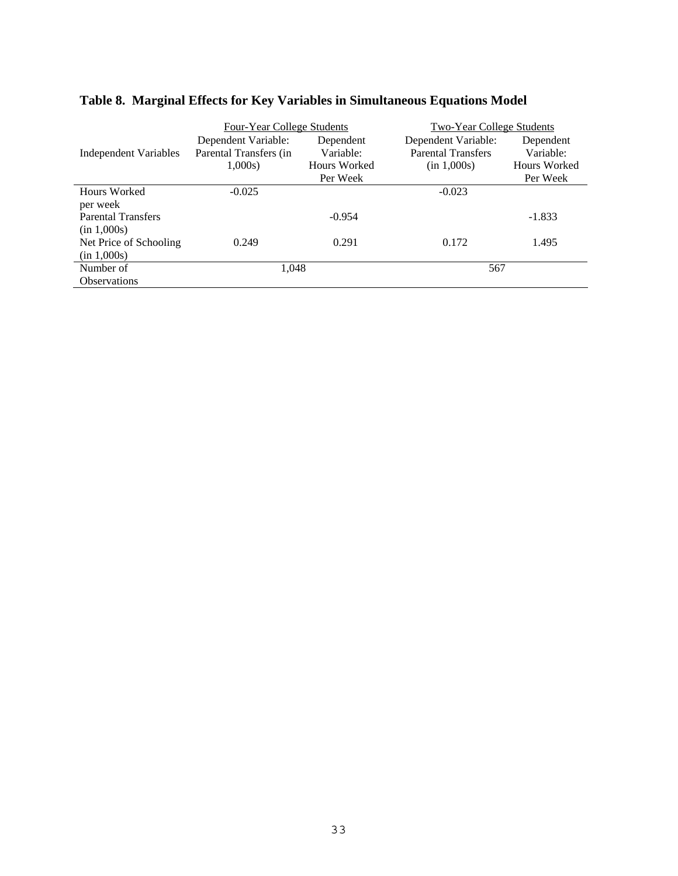|                           | Four-Year College Students |              | <b>Two-Year College Students</b> |              |
|---------------------------|----------------------------|--------------|----------------------------------|--------------|
|                           | Dependent Variable:        | Dependent    | Dependent Variable:              | Dependent    |
| Independent Variables     | Parental Transfers (in     | Variable:    | <b>Parental Transfers</b>        | Variable:    |
|                           | $1,000s$ )                 | Hours Worked | (in 1,000s)                      | Hours Worked |
|                           |                            | Per Week     |                                  | Per Week     |
| Hours Worked              | $-0.025$                   |              | $-0.023$                         |              |
| per week                  |                            |              |                                  |              |
| <b>Parental Transfers</b> |                            | $-0.954$     |                                  | $-1.833$     |
| (in 1,000s)               |                            |              |                                  |              |
| Net Price of Schooling    | 0.249                      | 0.291        | 0.172                            | 1.495        |
| (in 1,000s)               |                            |              |                                  |              |
| Number of                 | 1,048                      |              | 567                              |              |
| <b>Observations</b>       |                            |              |                                  |              |

# **Table 8. Marginal Effects for Key Variables in Simultaneous Equations Model**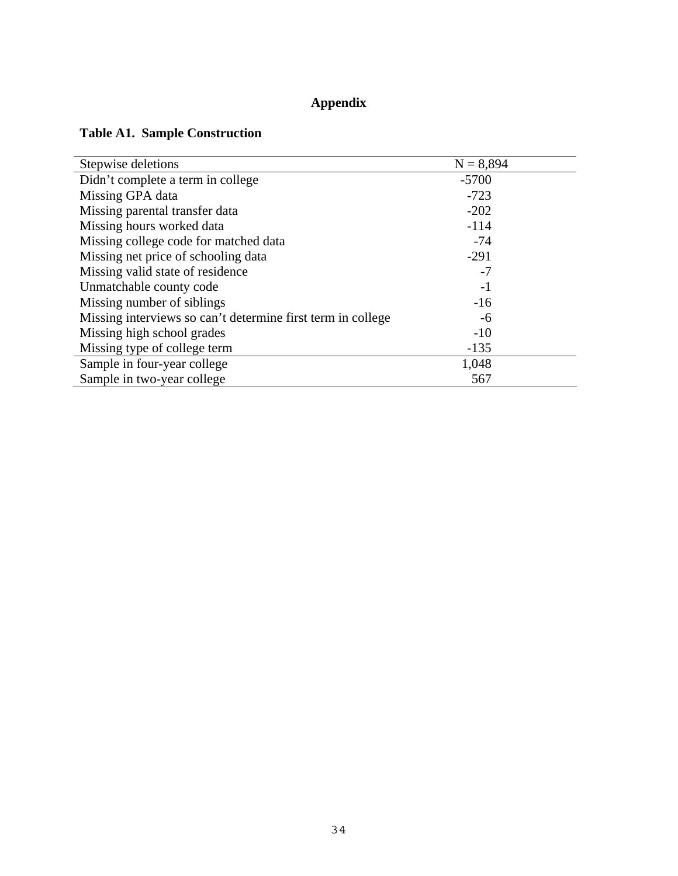# **Appendix**

# **Table A1. Sample Construction**

| Stepwise deletions                                          | $N = 8,894$ |
|-------------------------------------------------------------|-------------|
| Didn't complete a term in college                           | $-5700$     |
| Missing GPA data                                            | $-723$      |
| Missing parental transfer data                              | $-202$      |
| Missing hours worked data                                   | $-114$      |
| Missing college code for matched data                       | $-74$       |
| Missing net price of schooling data                         | $-291$      |
| Missing valid state of residence                            | $-7$        |
| Unmatchable county code                                     | $-1$        |
| Missing number of siblings                                  | $-16$       |
| Missing interviews so can't determine first term in college | -6          |
| Missing high school grades                                  | $-10$       |
| Missing type of college term                                | $-135$      |
| Sample in four-year college                                 | 1,048       |
| Sample in two-year college                                  | 567         |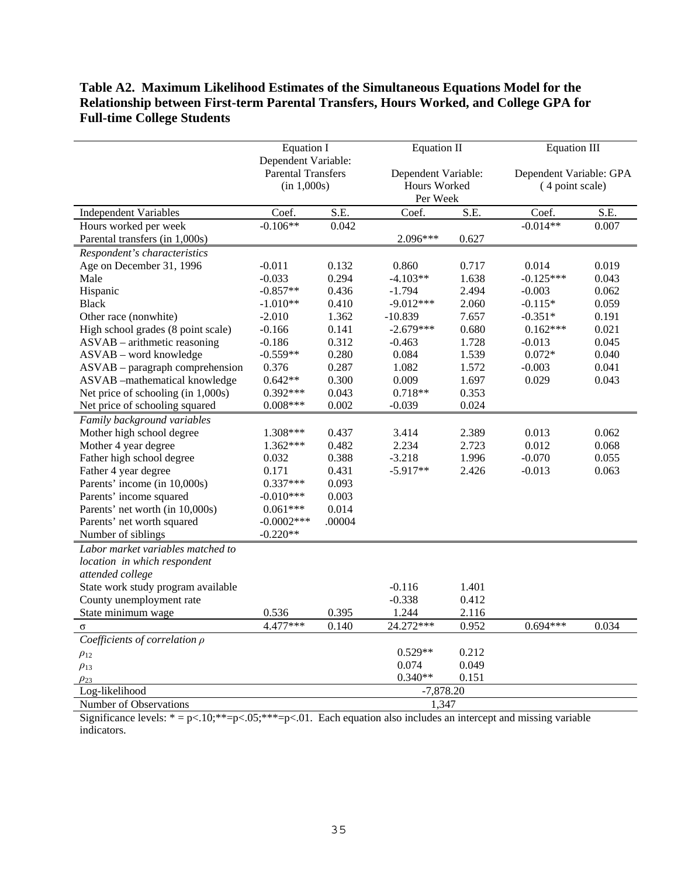## **Table A2. Maximum Likelihood Estimates of the Simultaneous Equations Model for the Relationship between First-term Parental Transfers, Hours Worked, and College GPA for Full-time College Students**

|                                    | <b>Equation I</b>                        |        | <b>Equation II</b>  |       | <b>Equation III</b>     |       |
|------------------------------------|------------------------------------------|--------|---------------------|-------|-------------------------|-------|
|                                    | Dependent Variable:                      |        |                     |       |                         |       |
|                                    | <b>Parental Transfers</b><br>(in 1,000s) |        | Dependent Variable: |       | Dependent Variable: GPA |       |
|                                    |                                          |        | Hours Worked        |       | (4 point scale)         |       |
|                                    |                                          |        | Per Week            |       |                         |       |
| <b>Independent Variables</b>       | Coef.                                    | S.E.   | Coef.               | S.E.  | Coef.                   | S.E.  |
| Hours worked per week              | $-0.106**$                               | 0.042  |                     |       | $-0.014**$              | 0.007 |
| Parental transfers (in 1,000s)     |                                          |        | 2.096***            | 0.627 |                         |       |
| Respondent's characteristics       |                                          |        |                     |       |                         |       |
| Age on December 31, 1996           | $-0.011$                                 | 0.132  | 0.860               | 0.717 | 0.014                   | 0.019 |
| Male                               | $-0.033$                                 | 0.294  | $-4.103**$          | 1.638 | $-0.125***$             | 0.043 |
| Hispanic                           | $-0.857**$                               | 0.436  | $-1.794$            | 2.494 | $-0.003$                | 0.062 |
| <b>Black</b>                       | $-1.010**$                               | 0.410  | $-9.012***$         | 2.060 | $-0.115*$               | 0.059 |
| Other race (nonwhite)              | $-2.010$                                 | 1.362  | $-10.839$           | 7.657 | $-0.351*$               | 0.191 |
| High school grades (8 point scale) | $-0.166$                                 | 0.141  | $-2.679***$         | 0.680 | $0.162***$              | 0.021 |
| $ASVAB - arithmetic reasoning$     | $-0.186$                                 | 0.312  | $-0.463$            | 1.728 | $-0.013$                | 0.045 |
| ASVAB - word knowledge             | $-0.559**$                               | 0.280  | 0.084               | 1.539 | $0.072*$                | 0.040 |
| $ASVAB$ – paragraph comprehension  | 0.376                                    | 0.287  | 1.082               | 1.572 | $-0.003$                | 0.041 |
| ASVAB -mathematical knowledge      | $0.642**$                                | 0.300  | 0.009               | 1.697 | 0.029                   | 0.043 |
| Net price of schooling (in 1,000s) | 0.392***                                 | 0.043  | $0.718**$           | 0.353 |                         |       |
| Net price of schooling squared     | $0.008***$                               | 0.002  | $-0.039$            | 0.024 |                         |       |
| Family background variables        |                                          |        |                     |       |                         |       |
| Mother high school degree          | 1.308***                                 | 0.437  | 3.414               | 2.389 | 0.013                   | 0.062 |
| Mother 4 year degree               | $1.362***$                               | 0.482  | 2.234               | 2.723 | 0.012                   | 0.068 |
| Father high school degree          | 0.032                                    | 0.388  | $-3.218$            | 1.996 | $-0.070$                | 0.055 |
| Father 4 year degree               | 0.171                                    | 0.431  | $-5.917**$          | 2.426 | $-0.013$                | 0.063 |
| Parents' income (in 10,000s)       | $0.337***$                               | 0.093  |                     |       |                         |       |
| Parents' income squared            | $-0.010***$                              | 0.003  |                     |       |                         |       |
| Parents' net worth (in 10,000s)    | $0.061***$                               | 0.014  |                     |       |                         |       |
| Parents' net worth squared         | $-0.0002$ ***                            | .00004 |                     |       |                         |       |
| Number of siblings                 | $-0.220**$                               |        |                     |       |                         |       |
| Labor market variables matched to  |                                          |        |                     |       |                         |       |
| location in which respondent       |                                          |        |                     |       |                         |       |
| attended college                   |                                          |        |                     |       |                         |       |
| State work study program available |                                          |        | $-0.116$            | 1.401 |                         |       |
| County unemployment rate           |                                          |        | $-0.338$            | 0.412 |                         |       |
| State minimum wage                 | 0.536                                    | 0.395  | 1.244               | 2.116 |                         |       |
| $\sigma$                           | 4.477***                                 | 0.140  | 24.272***           | 0.952 | $0.694***$              | 0.034 |
| Coefficients of correlation p      |                                          |        |                     |       |                         |       |
| $\rho_{12}$                        |                                          |        | $0.529**$           | 0.212 |                         |       |
| $\rho_{13}$                        |                                          |        | 0.074               | 0.049 |                         |       |
| $\rho_{23}$                        |                                          |        | $0.340**$           | 0.151 |                         |       |
| Log-likelihood                     |                                          |        | $-7,878.20$         |       |                         |       |
| Number of Observations             |                                          |        | 1,347               |       |                         |       |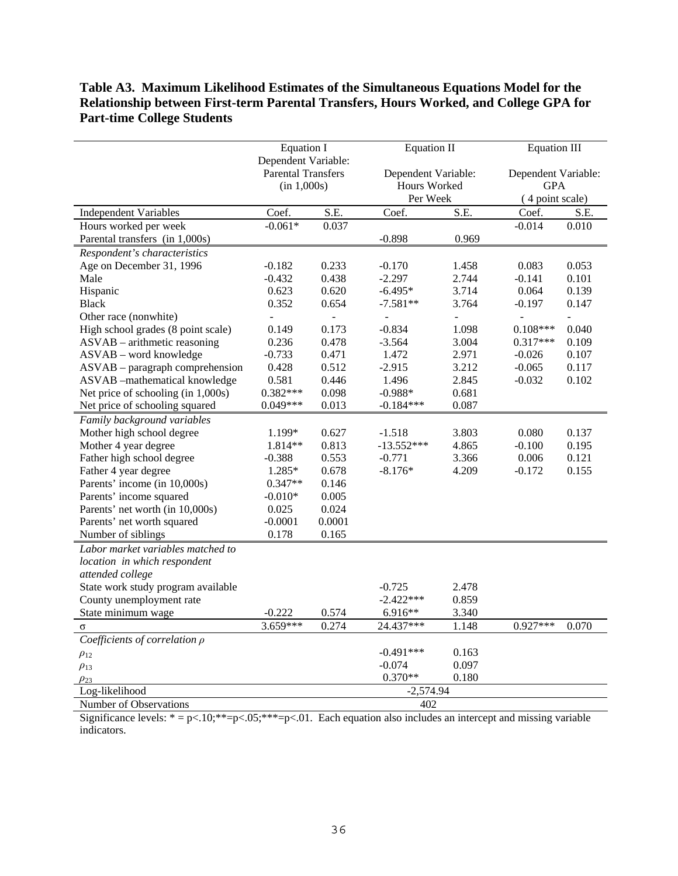## **Table A3. Maximum Likelihood Estimates of the Simultaneous Equations Model for the Relationship between First-term Parental Transfers, Hours Worked, and College GPA for Part-time College Students**

|                                    | <b>Equation I</b>         |                | <b>Equation II</b> |                     | <b>Equation III</b>      |                     |  |
|------------------------------------|---------------------------|----------------|--------------------|---------------------|--------------------------|---------------------|--|
|                                    | Dependent Variable:       |                |                    |                     |                          |                     |  |
|                                    | <b>Parental Transfers</b> |                |                    | Dependent Variable: |                          | Dependent Variable: |  |
|                                    | (in 1,000s)               |                | Hours Worked       |                     | <b>GPA</b>               |                     |  |
|                                    |                           |                | Per Week           |                     | (4 point scale)          |                     |  |
| <b>Independent Variables</b>       | Coef.                     | S.E.           | Coef.              | S.E.                | Coef.                    | S.E.                |  |
| Hours worked per week              | $-0.061*$                 | 0.037          |                    |                     | $-0.014$                 | 0.010               |  |
| Parental transfers (in 1,000s)     |                           |                | $-0.898$           | 0.969               |                          |                     |  |
| Respondent's characteristics       |                           |                |                    |                     |                          |                     |  |
| Age on December 31, 1996           | $-0.182$                  | 0.233          | $-0.170$           | 1.458               | 0.083                    | 0.053               |  |
| Male                               | $-0.432$                  | 0.438          | $-2.297$           | 2.744               | $-0.141$                 | 0.101               |  |
| Hispanic                           | 0.623                     | 0.620          | $-6.495*$          | 3.714               | 0.064                    | 0.139               |  |
| <b>Black</b>                       | 0.352                     | 0.654          | $-7.581**$         | 3.764               | $-0.197$                 | 0.147               |  |
| Other race (nonwhite)              |                           | $\overline{a}$ |                    |                     | $\overline{\phantom{a}}$ | $\overline{a}$      |  |
| High school grades (8 point scale) | 0.149                     | 0.173          | $-0.834$           | 1.098               | $0.108***$               | 0.040               |  |
| $ASVAB - arithmetic reasoning$     | 0.236                     | 0.478          | $-3.564$           | 3.004               | $0.317***$               | 0.109               |  |
| ASVAB - word knowledge             | $-0.733$                  | 0.471          | 1.472              | 2.971               | $-0.026$                 | 0.107               |  |
| $ASVAB$ – paragraph comprehension  | 0.428                     | 0.512          | $-2.915$           | 3.212               | $-0.065$                 | 0.117               |  |
| ASVAB -mathematical knowledge      | 0.581                     | 0.446          | 1.496              | 2.845               | $-0.032$                 | 0.102               |  |
| Net price of schooling (in 1,000s) | 0.382***                  | 0.098          | $-0.988*$          | 0.681               |                          |                     |  |
| Net price of schooling squared     | $0.049***$                | 0.013          | $-0.184***$        | 0.087               |                          |                     |  |
| Family background variables        |                           |                |                    |                     |                          |                     |  |
| Mother high school degree          | 1.199*                    | 0.627          | $-1.518$           | 3.803               | 0.080                    | 0.137               |  |
| Mother 4 year degree               | 1.814**                   | 0.813          | $-13.552***$       | 4.865               | $-0.100$                 | 0.195               |  |
| Father high school degree          | $-0.388$                  | 0.553          | $-0.771$           | 3.366               | 0.006                    | 0.121               |  |
| Father 4 year degree               | 1.285*                    | 0.678          | $-8.176*$          | 4.209               | $-0.172$                 | 0.155               |  |
| Parents' income (in 10,000s)       | $0.347**$                 | 0.146          |                    |                     |                          |                     |  |
| Parents' income squared            | $-0.010*$                 | 0.005          |                    |                     |                          |                     |  |
| Parents' net worth (in 10,000s)    | 0.025                     | 0.024          |                    |                     |                          |                     |  |
| Parents' net worth squared         | $-0.0001$                 | 0.0001         |                    |                     |                          |                     |  |
| Number of siblings                 | 0.178                     | 0.165          |                    |                     |                          |                     |  |
| Labor market variables matched to  |                           |                |                    |                     |                          |                     |  |
| location in which respondent       |                           |                |                    |                     |                          |                     |  |
| attended college                   |                           |                |                    |                     |                          |                     |  |
| State work study program available |                           |                | $-0.725$           | 2.478               |                          |                     |  |
| County unemployment rate           |                           |                | $-2.422***$        | 0.859               |                          |                     |  |
| State minimum wage                 | $-0.222$                  | 0.574          | 6.916**            | 3.340               |                          |                     |  |
| Q                                  | 3.659***                  | 0.274          | 24.437***          | 1.148               | $0.927***$               | 0.070               |  |
| Coefficients of correlation p      |                           |                |                    |                     |                          |                     |  |
| $\rho_{12}$                        |                           |                | $-0.491***$        | 0.163               |                          |                     |  |
| $\rho_{13}$                        |                           |                | $-0.074$           | 0.097               |                          |                     |  |
| $\rho_{23}$                        |                           |                | $0.370**$          | 0.180               |                          |                     |  |
| Log-likelihood                     |                           |                | $-2,574.94$        |                     |                          |                     |  |
| Number of Observations             |                           |                | 402                |                     |                          |                     |  |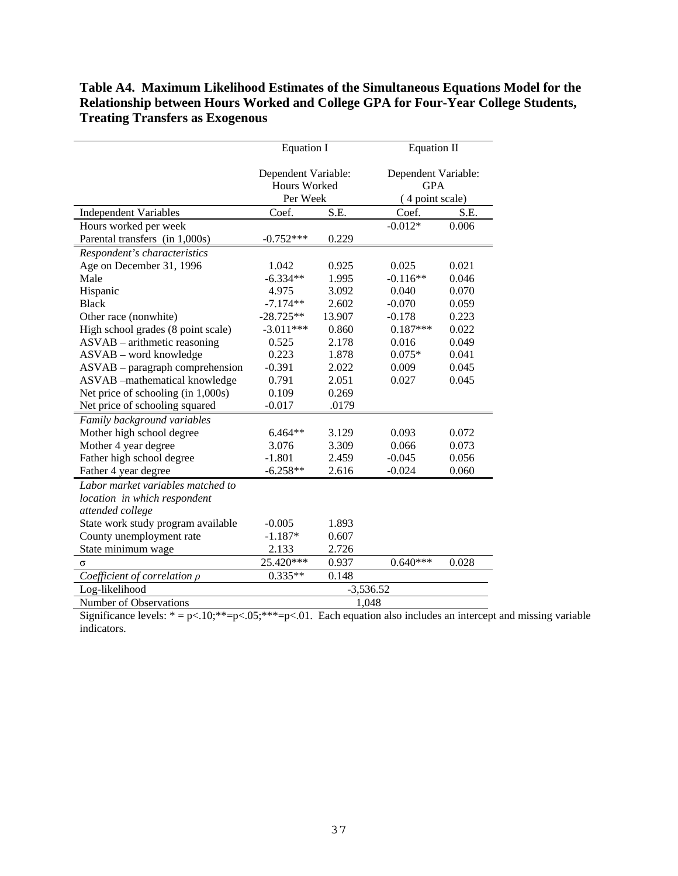## **Table A4. Maximum Likelihood Estimates of the Simultaneous Equations Model for the Relationship between Hours Worked and College GPA for Four-Year College Students, Treating Transfers as Exogenous**

|                                    | <b>Equation I</b>                   |             |                                                      | <b>Equation II</b> |  |  |
|------------------------------------|-------------------------------------|-------------|------------------------------------------------------|--------------------|--|--|
|                                    | Dependent Variable:<br>Hours Worked |             | Dependent Variable:<br><b>GPA</b><br>(4 point scale) |                    |  |  |
| <b>Independent Variables</b>       | Per Week<br>Coef.                   | S.E.        | Coef.                                                | S.E.               |  |  |
| Hours worked per week              |                                     |             | $-0.012*$                                            | 0.006              |  |  |
| Parental transfers (in 1,000s)     | $-0.752***$                         | 0.229       |                                                      |                    |  |  |
| Respondent's characteristics       |                                     |             |                                                      |                    |  |  |
| Age on December 31, 1996           | 1.042                               | 0.925       | 0.025                                                | 0.021              |  |  |
| Male                               | $-6.334**$                          | 1.995       | $-0.116**$                                           | 0.046              |  |  |
| Hispanic                           | 4.975                               | 3.092       | 0.040                                                | 0.070              |  |  |
| <b>Black</b>                       | $-7.174**$                          | 2.602       | $-0.070$                                             | 0.059              |  |  |
| Other race (nonwhite)              | $-28.725**$                         | 13.907      | $-0.178$                                             | 0.223              |  |  |
| High school grades (8 point scale) | $-3.011***$                         | 0.860       | $0.187***$                                           | 0.022              |  |  |
| $ASVAB - arithmetic reasoning$     | 0.525                               | 2.178       | 0.016                                                | 0.049              |  |  |
| ASVAB - word knowledge             | 0.223                               | 1.878       | $0.075*$                                             | 0.041              |  |  |
| $ASVAB$ – paragraph comprehension  | $-0.391$                            | 2.022       | 0.009                                                | 0.045              |  |  |
| ASVAB -mathematical knowledge      | 0.791                               | 2.051       | 0.027                                                | 0.045              |  |  |
| Net price of schooling (in 1,000s) | 0.109                               | 0.269       |                                                      |                    |  |  |
| Net price of schooling squared     | $-0.017$                            | .0179       |                                                      |                    |  |  |
| Family background variables        |                                     |             |                                                      |                    |  |  |
| Mother high school degree          | $6.464**$                           | 3.129       | 0.093                                                | 0.072              |  |  |
| Mother 4 year degree               | 3.076                               | 3.309       | 0.066                                                | 0.073              |  |  |
| Father high school degree          | $-1.801$                            | 2.459       | $-0.045$                                             | 0.056              |  |  |
| Father 4 year degree               | $-6.258**$                          | 2.616       | $-0.024$                                             | 0.060              |  |  |
| Labor market variables matched to  |                                     |             |                                                      |                    |  |  |
| location in which respondent       |                                     |             |                                                      |                    |  |  |
| attended college                   |                                     |             |                                                      |                    |  |  |
| State work study program available | $-0.005$                            | 1.893       |                                                      |                    |  |  |
| County unemployment rate           | $-1.187*$                           | 0.607       |                                                      |                    |  |  |
| State minimum wage                 | 2.133                               | 2.726       |                                                      |                    |  |  |
| $\sigma$                           | 25.420***                           | 0.937       | $0.640***$                                           | 0.028              |  |  |
| Coefficient of correlation $\rho$  | $0.335**$                           | 0.148       |                                                      |                    |  |  |
| Log-likelihood                     |                                     | $-3,536.52$ |                                                      |                    |  |  |
| Number of Observations             |                                     | 1,048       |                                                      |                    |  |  |